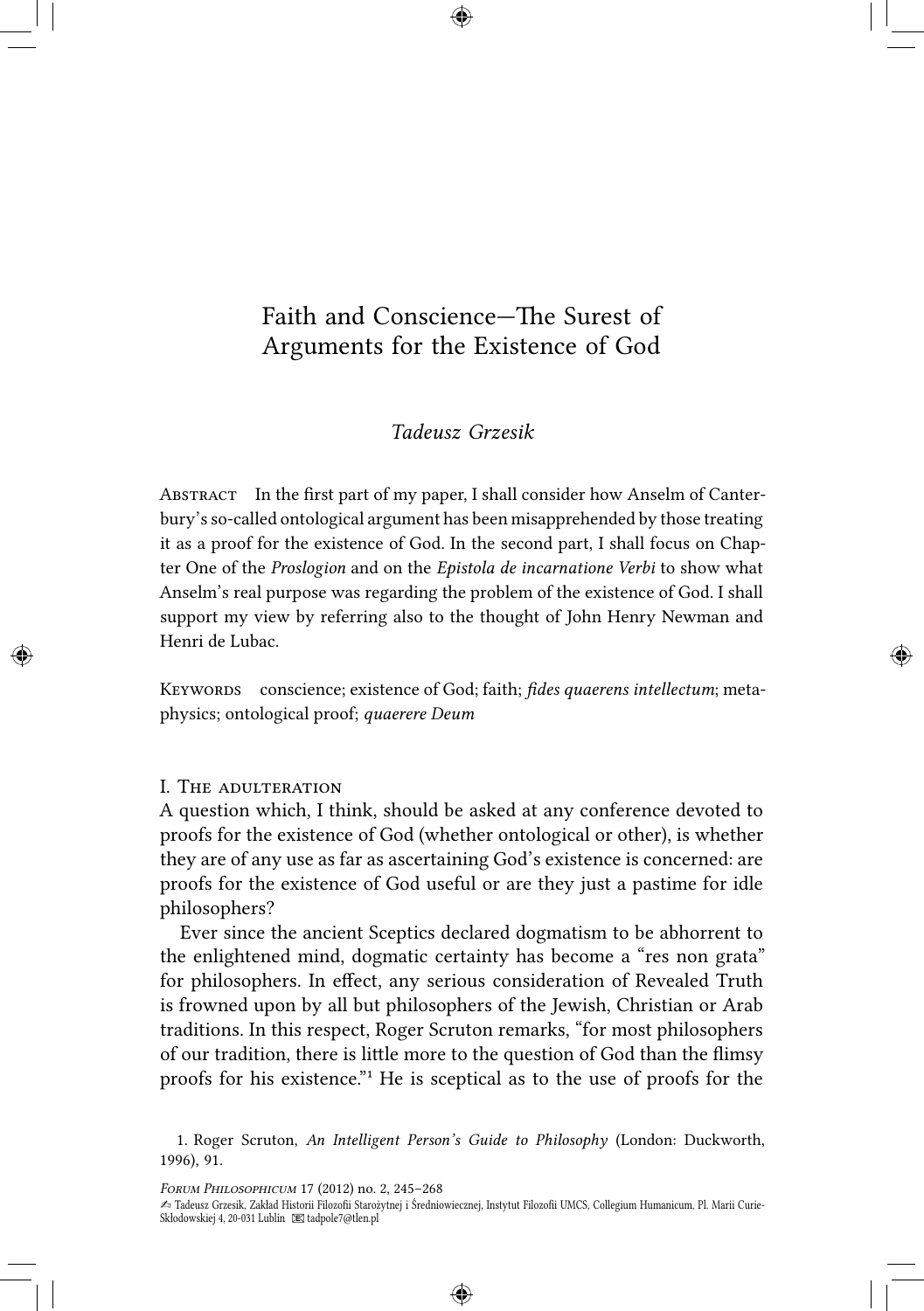# Faith and Conscience—The Surest of<br>Arguments for the Existence of God<br>Tadeusz Grzesik Arguments for the Existence of God

# *Tadeusz Grzesik*

ABSTRACT In the first part of my paper, I shall consider how Anselm of Canterbury's so-called ontological argument has been misapprehended by those treating it as a proof for the existence of God. In the second part, I shall focus on Chapter One of the *Proslogion* and on the *Epistola de incarnatione Verbi* to show what Anselm's real purpose was regarding the problem of the existence of God. I shall support my view by referring also to the thought of John Henry Newman and Henri de Lubac.

KEYWORDS conscience; existence of God; faith; *fides quaerens intellectum*; metaphysics; ontological proof; *quaerere Deum*

## **I. THE ADULTERATION**

A question which, I think, should be asked at any conference devoted to proofs for the existence of God (whether ontological or other), is whether they are of any use as far as ascertaining God's existence is concerned: are proofs for the existence of God useful or are they just a pastime for idle philosophers?

Ever since the ancient Sceptics declared dogmatism to be abhorrent to the enlightened mind, dogmatic certainty has become a "res non grata" for philosophers. In effect, any serious consideration of Revealed Truth is frowned upon by all but philosophers of the Jewish, Christian or Arab traditions. In this respect, Roger Scruton remarks, "for most philosophers of our tradition, there is little more to the question of God than the flimsy proofs for his existence." He is sceptical as to the use of proofs for the

*FORUM PHILOSOPHICUM* 17 (2012) no. 2, 245-268

<sup>1.</sup> Roger Scruton, *An Intelligent Person's Guide to Philosophy* (London: Duckworth, 1996), 91.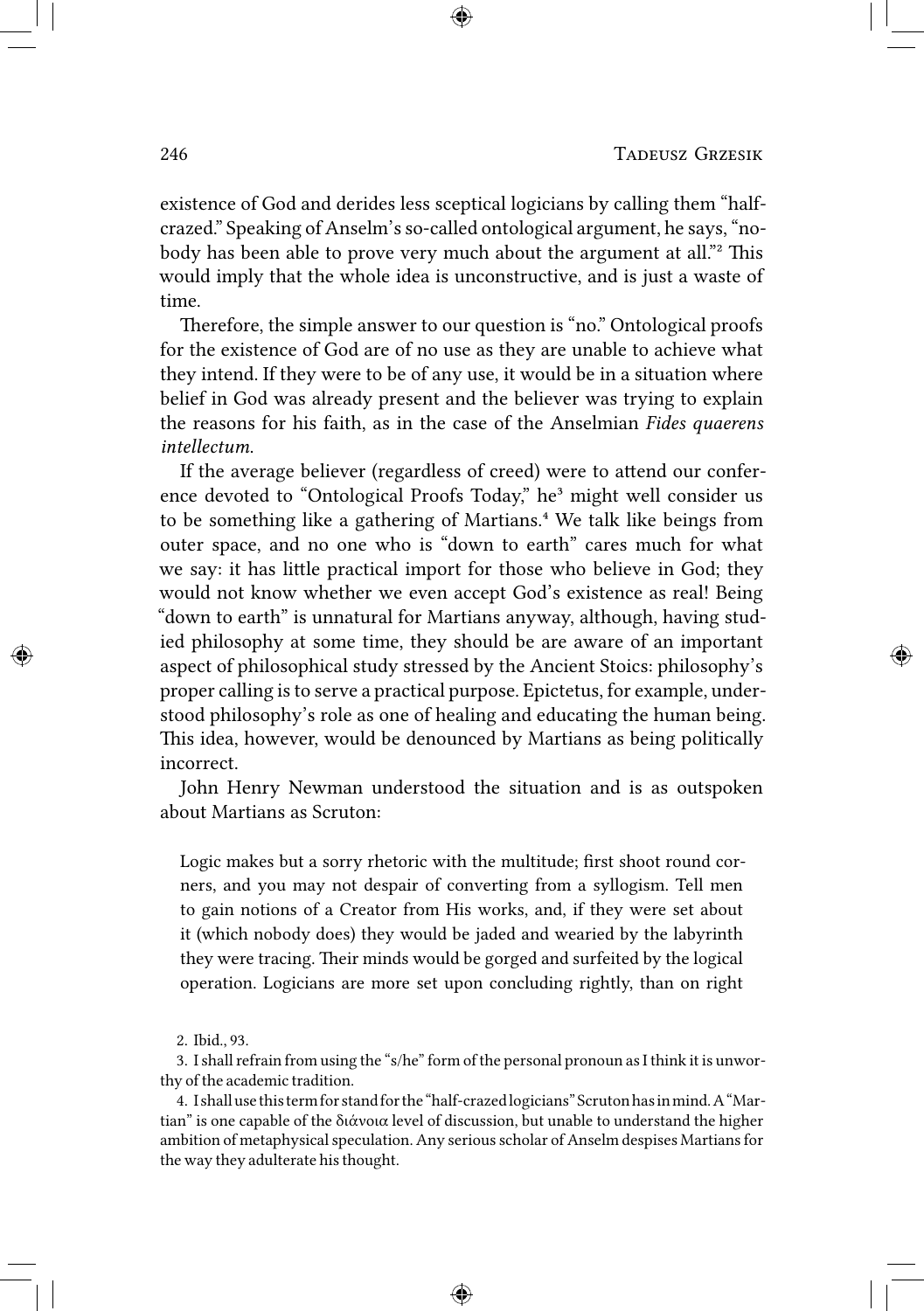existence of God and derides less sceptical logicians by calling them "halfcrazed." Speaking of Anselm's so-called ontological argument, he says, "nobody has been able to prove very much about the argument at all."<sup>2</sup> This would imply that the whole idea is unconstructive, and is just a waste of time.

Therefore, the simple answer to our question is "no." Ontological proofs for the existence of God are of no use as they are unable to achieve what they intend. If they were to be of any use, it would be in a situation where belief in God was already present and the believer was trying to explain the reasons for his faith, as in the case of the Anselmian *Fides quaerens intellectum*.

If the average believer (regardless of creed) were to attend our conference devoted to "Ontological Proofs Today," he<sup>3</sup> might well consider us to be something like a gathering of Martians.<sup>4</sup> We talk like beings from outer space, and no one who is "down to earth" cares much for what we say: it has little practical import for those who believe in God; they would not know whether we even accept God's existence as real! Being "down to earth" is unnatural for Martians anyway, although, having studied philosophy at some time, they should be are aware of an important aspect of philosophical study stressed by the Ancient Stoics: philosophy's proper calling is to serve a practical purpose. Epictetus, for example, understood philosophy's role as one of healing and educating the human being. This idea, however, would be denounced by Martians as being politically incorrect.

John Henry Newman understood the situation and is as outspoken about Martians as Scruton:

Logic makes but a sorry rhetoric with the multitude; first shoot round corners, and you may not despair of converting from a syllogism. Tell men to gain notions of a Creator from His works, and, if they were set about it (which nobody does) they would be jaded and wearied by the labyrinth they were tracing. Their minds would be gorged and surfeited by the logical operation. Logicians are more set upon concluding rightly, than on right

3. I shall refrain from using the "s/he" form of the personal pronoun as I think it is unworthy of the academic tradition.

4. Ishallusethistermforstandforthe"half-crazedlogicians"Scrutonhasinmind.A"Martian" is one capable of the διάνοια level of discussion, but unable to understand the higher ambition of metaphysical speculation. Any serious scholar of Anselm despises Martians for the way they adulterate his thought.

<sup>2.</sup> Ibid., 93.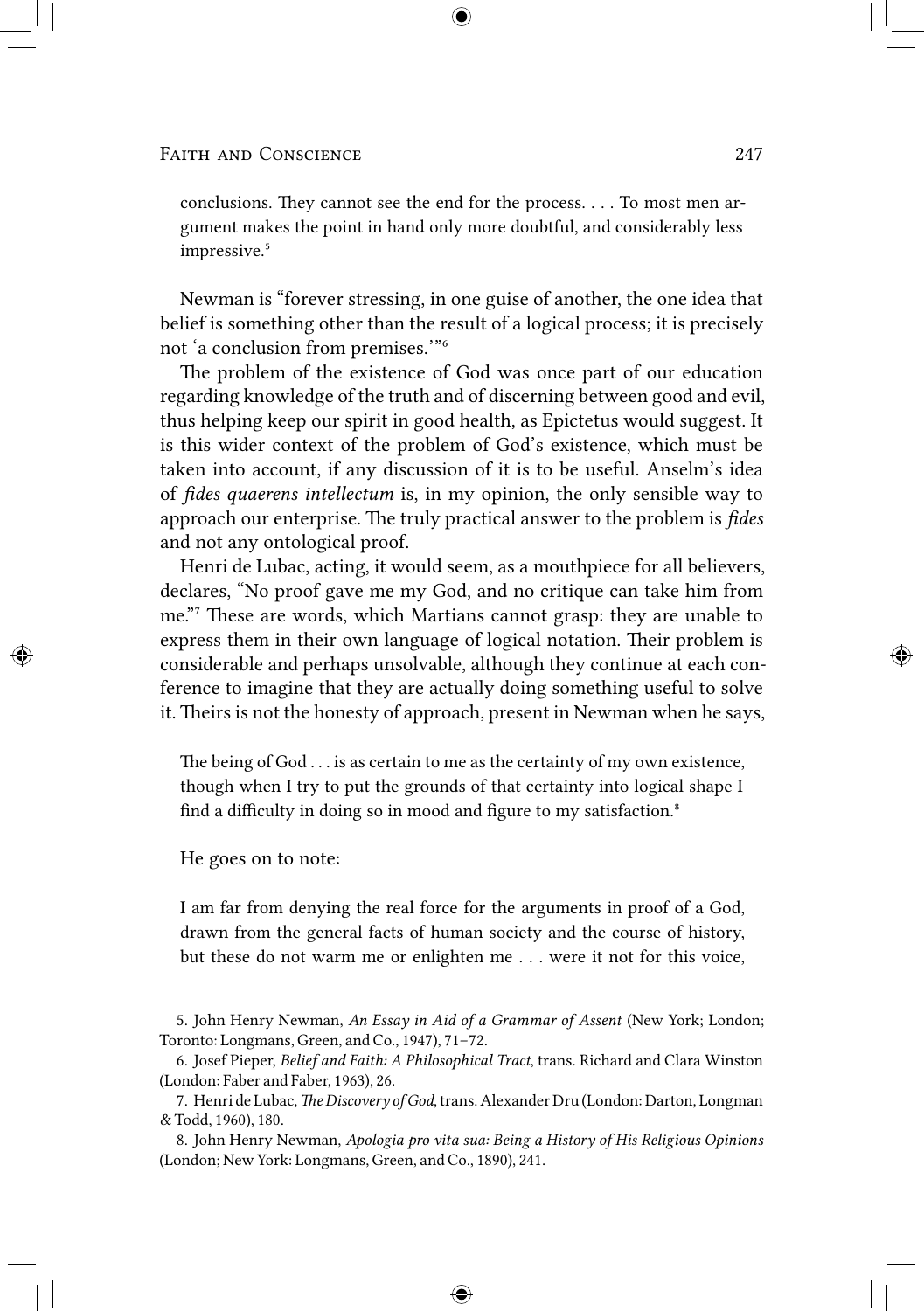conclusions. They cannot see the end for the process. . . . To most men argument makes the point in hand only more doubtful, and considerably less impressive.<sup>5</sup>

Newman is "forever stressing, in one guise of another, the one idea that belief is something other than the result of a logical process; it is precisely not 'a conclusion from premises."<sup>6</sup>

The problem of the existence of God was once part of our education regarding knowledge of the truth and of discerning between good and evil, thus helping keep our spirit in good health, as Epictetus would suggest. It is this wider context of the problem of God's existence, which must be taken into account, if any discussion of it is to be useful. Anselm's idea of *fides quaerens intellectum* is, in my opinion, the only sensible way to approach our enterprise. The truly practical answer to the problem is *fides* and not any ontological proof.

Henri de Lubac, acting, it would seem, as a mouthpiece for all believers, declares, "No proof gave me my God, and no critique can take him from me."7 These are words, which Martians cannot grasp: they are unable to express them in their own language of logical notation. Their problem is considerable and perhaps unsolvable, although they continue at each conference to imagine that they are actually doing something useful to solve it. Theirs is not the honesty of approach, present in Newman when he says,

The being of  $God \dots$  is as certain to me as the certainty of my own existence, though when I try to put the grounds of that certainty into logical shape I find a difficulty in doing so in mood and figure to my satisfaction.<sup>8</sup>

He goes on to note:

I am far from denying the real force for the arguments in proof of a God, drawn from the general facts of human society and the course of history, but these do not warm me or enlighten me . . . were it not for this voice,

5. John Henry Newman, *An Essay in Aid of a Grammar of Assent* (New York; London; Toronto: Longmans, Green, and Co., 1947), 71–72.

8. John Henry Newman, *Apologia pro vita sua: Being a History of His Religious Opinions* (London; New York: Longmans, Green, and Co., 1890), 241.

<sup>6.</sup> Josef Pieper, *Belief and Faith: A Philosophical Tract*, trans. Richard and Clara Winston (London: Faber and Faber, 1963), 26.

<sup>7.</sup> Henri de Lubac, The Discovery of God, trans. Alexander Dru (London: Darton, Longman & Todd, 1960), 180.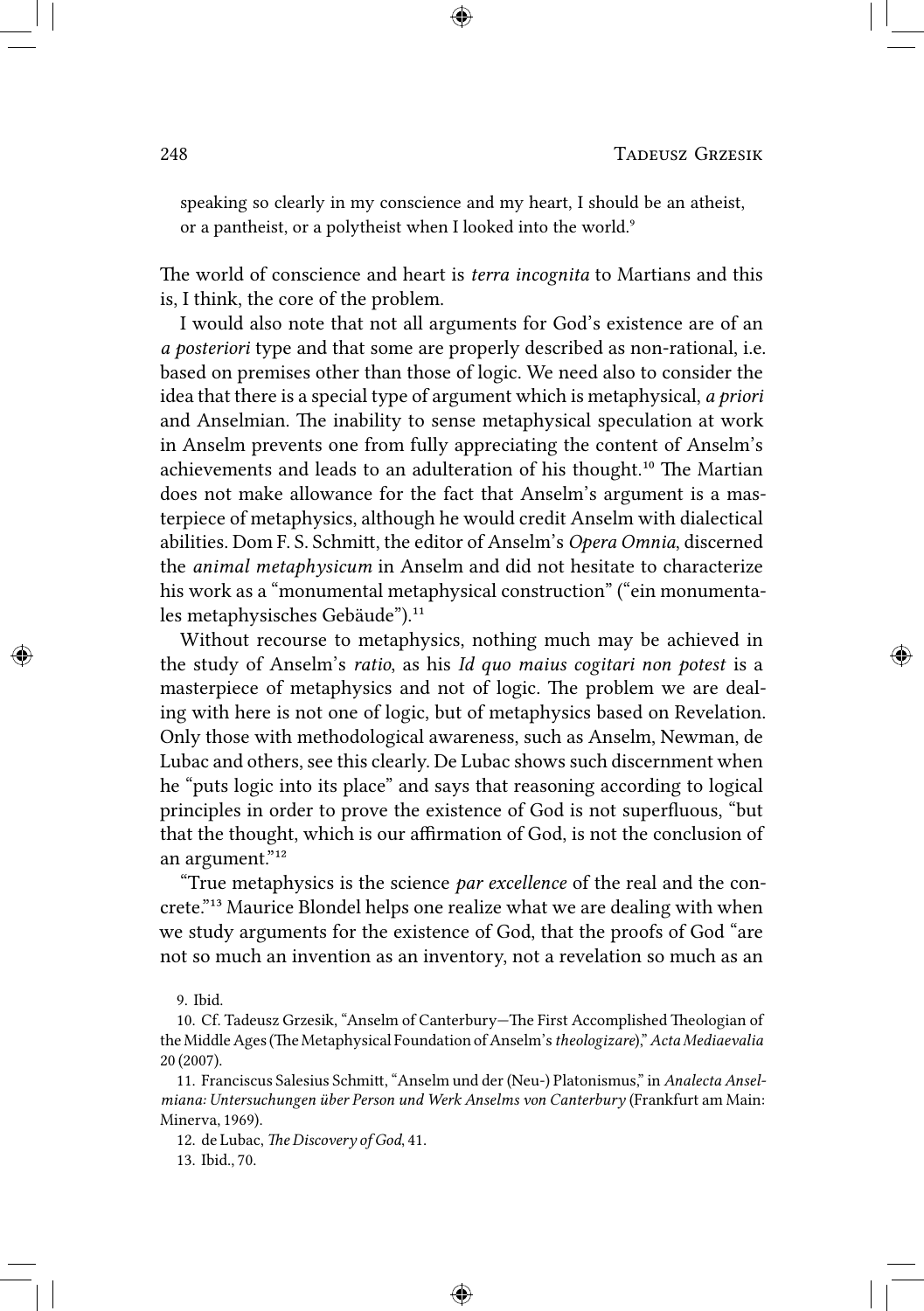speaking so clearly in my conscience and my heart, I should be an atheist, or a pantheist, or a polytheist when I looked into the world.<sup>9</sup>

The world of conscience and heart is *terra incognita* to Martians and this is, I think, the core of the problem.

I would also note that not all arguments for God's existence are of an *a posteriori* type and that some are properly described as non-rational, i.e. based on premises other than those of logic. We need also to consider the idea that there is a special type of argument which is metaphysical, *a priori* and Anselmian. The inability to sense metaphysical speculation at work in Anselm prevents one from fully appreciating the content of Anselm's achievements and leads to an adulteration of his thought.<sup>10</sup> The Martian does not make allowance for the fact that Anselm's argument is a masterpiece of metaphysics, although he would credit Anselm with dialectical abilities. Dom F. S. Schmitt, the editor of Anselm's *Opera Omnia*, discerned the *animal metaphysicum* in Anselm and did not hesitate to characterize his work as a "monumental metaphysical construction" ("ein monumentales metaphysisches Gebäude").<sup>11</sup>

Without recourse to metaphysics, nothing much may be achieved in the study of Anselm's *ratio*, as his *Id quo maius cogitari non potest* is a masterpiece of metaphysics and not of logic. The problem we are dealing with here is not one of logic, but of metaphysics based on Revelation. Only those with methodological awareness, such as Anselm, Newman, de Lubac and others, see this clearly. De Lubac shows such discernment when he "puts logic into its place" and says that reasoning according to logical principles in order to prove the existence of God is not superfluous, "but that the thought, which is our affirmation of God, is not the conclusion of an argument."<sup>12</sup>

"True metaphysics is the science *par excellence* of the real and the concrete."<sup>13</sup> Maurice Blondel helps one realize what we are dealing with when we study arguments for the existence of God, that the proofs of God "are not so much an invention as an inventory, not a revelation so much as an

9. Ibid.

10. Cf. Tadeusz Grzesik, "Anselm of Canterbury-The First Accomplished Theologian of the Middle Ages (The Metaphysical Foundation of Anselm's theologizare)," Acta Mediaevalia 20 (2007).

11. Franciscus Salesius Schmitt, "Anselm und der (Neu-) Platonismus," in *Analecta Anselmiana: Untersuchungen über Person und Werk Anselms von Canterbury* (Frankfurt am Main: Minerva, 1969).

12. de Lubac, *The Discovery of God*, 41.

13. Ibid., 70.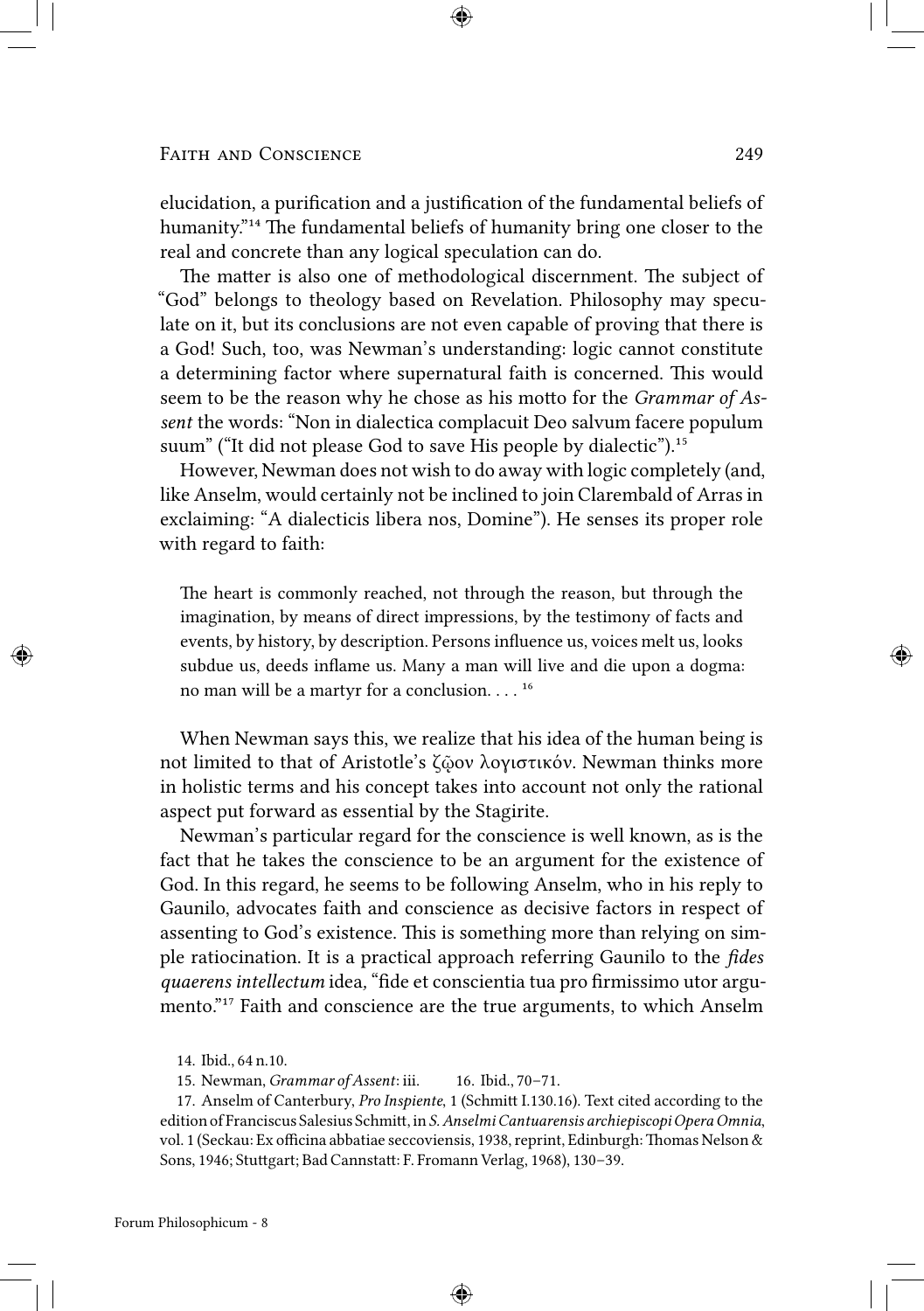elucidation, a purification and a justification of the fundamental beliefs of humanity."<sup>14</sup> The fundamental beliefs of humanity bring one closer to the real and concrete than any logical speculation can do.

The matter is also one of methodological discernment. The subject of "God" belongs to theology based on Revelation. Philosophy may speculate on it, but its conclusions are not even capable of proving that there is a God! Such, too, was Newman's understanding: logic cannot constitute a determining factor where supernatural faith is concerned. This would seem to be the reason why he chose as his motto for the *Grammar of Assent* the words: "Non in dialectica complacuit Deo salvum facere populum suum" ("It did not please God to save His people by dialectic").<sup>15</sup>

However, Newman does not wish to do away with logic completely (and, like Anselm, would certainly not be inclined to join Clarembald of Arras in exclaiming: "A dialecticis libera nos, Domine"). He senses its proper role with regard to faith:

The heart is commonly reached, not through the reason, but through the imagination, by means of direct impressions, by the testimony of facts and events, by history, by description. Persons influence us, voices melt us, looks subdue us, deeds inflame us. Many a man will live and die upon a dogma: no man will be a martyr for a conclusion.  $\ldots$ <sup>16</sup>

When Newman says this, we realize that his idea of the human being is not limited to that of Aristotle's ζῷον λογιστικόν. Newman thinks more in holistic terms and his concept takes into account not only the rational aspect put forward as essential by the Stagirite.

Newman's particular regard for the conscience is well known, as is the fact that he takes the conscience to be an argument for the existence of God. In this regard, he seems to be following Anselm, who in his reply to Gaunilo, advocates faith and conscience as decisive factors in respect of assenting to God's existence. This is something more than relying on simple ratiocination. It is a practical approach referring Gaunilo to the *fides quaerens intellectum* idea*,* "fide et conscientia tua pro firmissimo utor argumento."<sup>17</sup> Faith and conscience are the true arguments, to which Anselm

17. Anselm of Canterbury, *Pro Inspiente*, 1 (Schmitt I.130.16). Text cited according to the edition of Franciscus Salesius Schmitt, in *S. Anselmi Cantuarensis archiepiscopi Opera Omnia*, vol. 1 (Seckau: Ex officina abbatiae seccoviensis, 1938, reprint, Edinburgh: Thomas Nelson & Sons, 1946; Stuttgart; Bad Cannstatt: F. Fromann Verlag, 1968), 130-39.

<sup>14.</sup> Ibid., 64 n.10.

<sup>15.</sup> Newman, *Grammar of Assent*: iii. 16. Ibid., 70–71.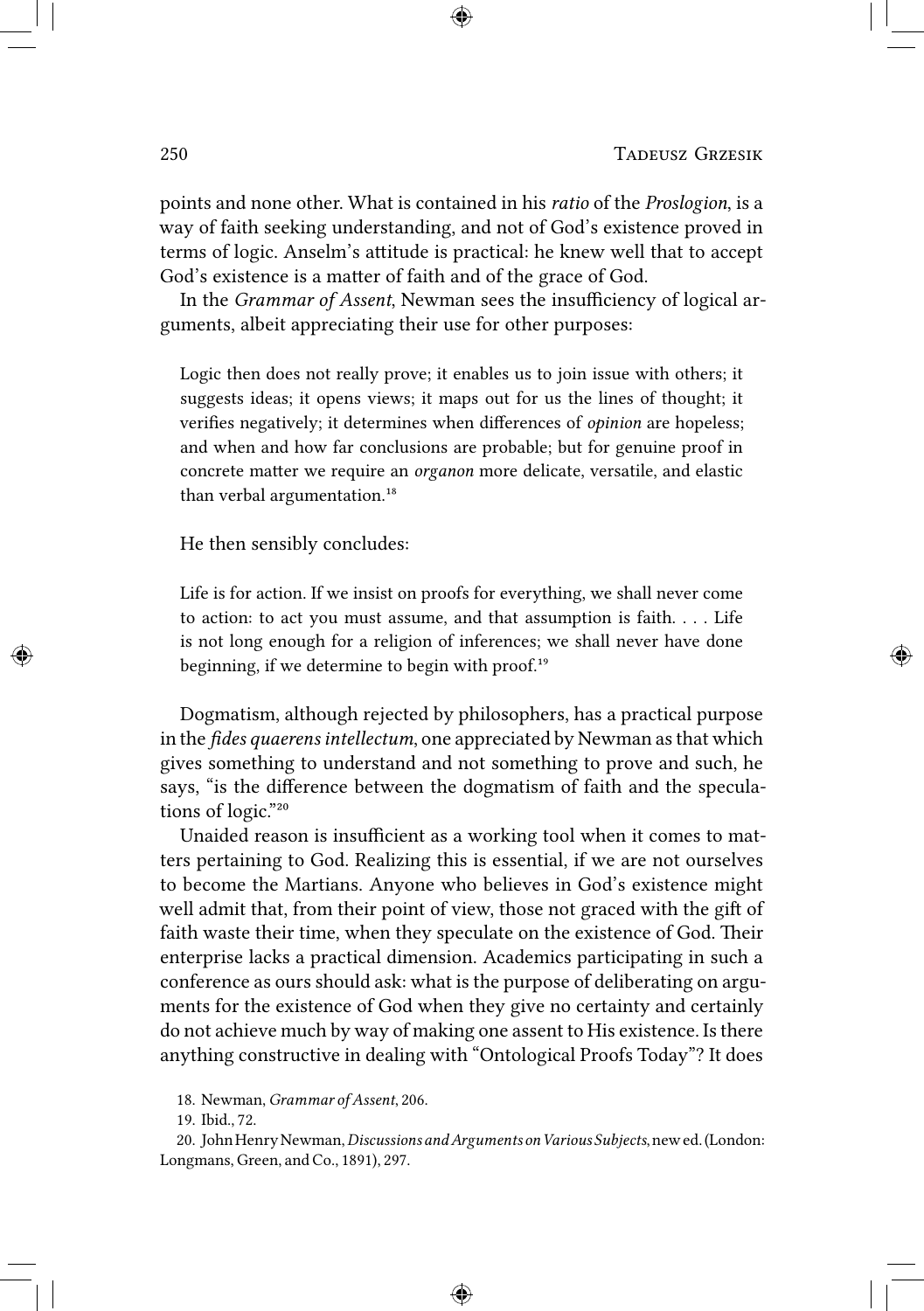points and none other. What is contained in his *ratio* of the *Proslogion*, is a way of faith seeking understanding, and not of God's existence proved in terms of logic. Anselm's attitude is practical: he knew well that to accept God's existence is a matter of faith and of the grace of God.

In the *Grammar of Assent*, Newman sees the insufficiency of logical arguments, albeit appreciating their use for other purposes:

Logic then does not really prove; it enables us to join issue with others; it suggests ideas; it opens views; it maps out for us the lines of thought; it verifies negatively; it determines when differences of *opinion* are hopeless; and when and how far conclusions are probable; but for genuine proof in concrete matter we require an *organon* more delicate, versatile, and elastic than verbal argumentation.<sup>18</sup>

He then sensibly concludes:

Life is for action. If we insist on proofs for everything, we shall never come to action: to act you must assume, and that assumption is faith. . . . Life is not long enough for a religion of inferences; we shall never have done beginning, if we determine to begin with proof. $19$ 

Dogmatism, although rejected by philosophers, has a practical purpose in the *fides quaerens intellectum*, one appreciated by Newman as that which gives something to understand and not something to prove and such, he says, "is the difference between the dogmatism of faith and the speculations of logic."20

Unaided reason is insufficient as a working tool when it comes to matters pertaining to God. Realizing this is essential, if we are not ourselves to become the Martians. Anyone who believes in God's existence might well admit that, from their point of view, those not graced with the gift of faith waste their time, when they speculate on the existence of God. Their enterprise lacks a practical dimension. Academics participating in such a conference as ours should ask: what is the purpose of deliberating on arguments for the existence of God when they give no certainty and certainly do not achieve much by way of making one assent to His existence. Is there anything constructive in dealing with "Ontological Proofs Today"? It does

<sup>18.</sup> Newman, *Grammar of Assent*, 206.

<sup>19.</sup> Ibid., 72.

<sup>20.</sup> JohnHenryNewman,*DiscussionsandArguments on Various Subjects*,newed.(London: Longmans, Green, and Co., 1891), 297.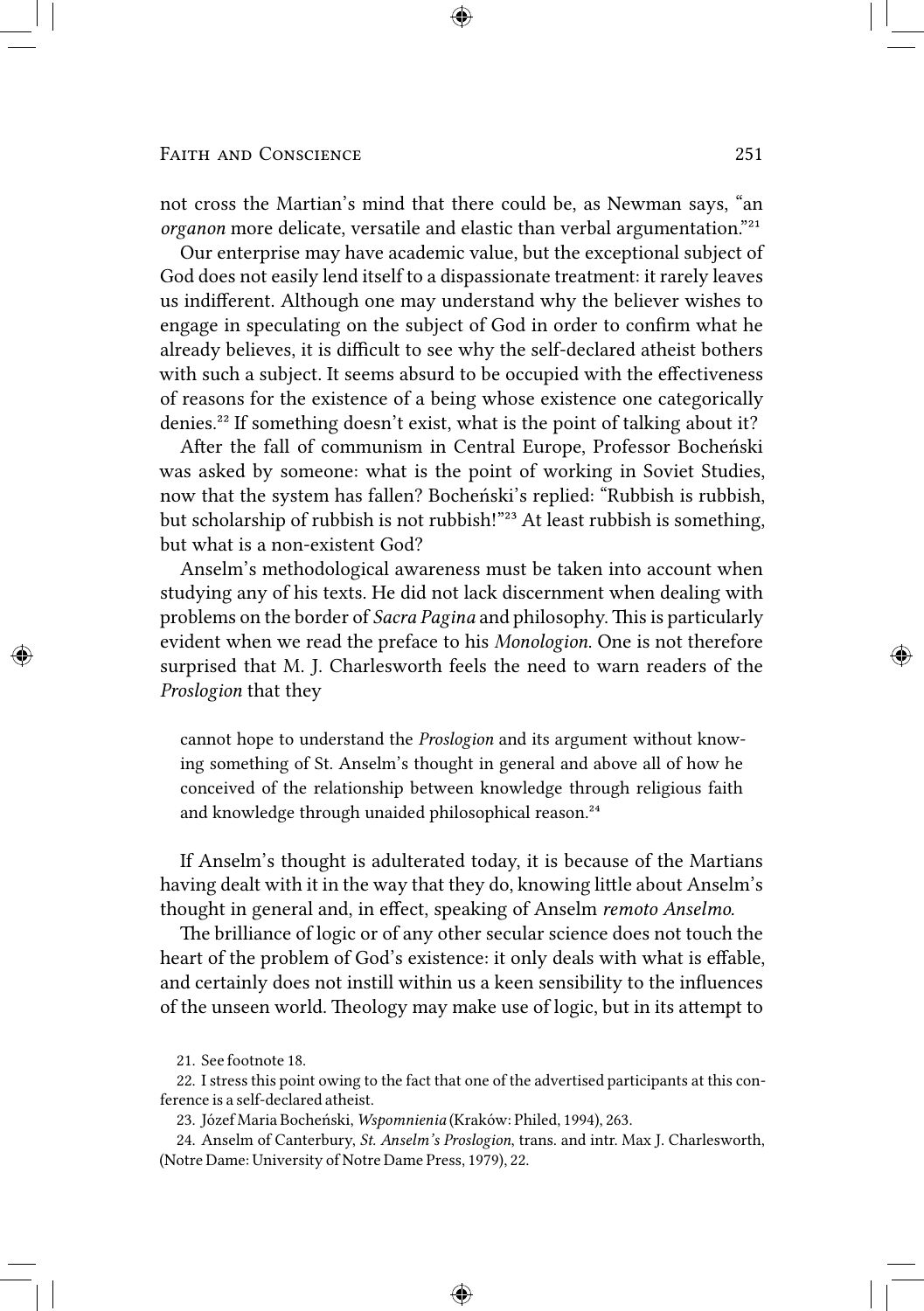not cross the Martian's mind that there could be, as Newman says, "an *organon* more delicate, versatile and elastic than verbal argumentation."<sup>21</sup>

Our enterprise may have academic value, but the exceptional subject of God does not easily lend itself to a dispassionate treatment: it rarely leaves us indifferent. Although one may understand why the believer wishes to engage in speculating on the subject of God in order to confirm what he already believes, it is difficult to see why the self-declared atheist bothers with such a subject. It seems absurd to be occupied with the effectiveness of reasons for the existence of a being whose existence one categorically denies.²² If something doesn't exist, what is the point of talking about it?

After the fall of communism in Central Europe, Professor Bocheński was asked by someone: what is the point of working in Soviet Studies, now that the system has fallen? Bocheński's replied: "Rubbish is rubbish, but scholarship of rubbish is not rubbish!"<sup>23</sup> At least rubbish is something, but what is a non-existent God?

Anselm's methodological awareness must be taken into account when studying any of his texts. He did not lack discernment when dealing with problems on the border of *Sacra Pagina* and philosophy. This is particularly evident when we read the preface to his *Monologion*. One is not therefore surprised that M. J. Charlesworth feels the need to warn readers of the *Proslogion* that they

cannot hope to understand the *Proslogion* and its argument without knowing something of St. Anselm's thought in general and above all of how he conceived of the relationship between knowledge through religious faith and knowledge through unaided philosophical reason.<sup>24</sup>

If Anselm's thought is adulterated today, it is because of the Martians having dealt with it in the way that they do, knowing little about Anselm's thought in general and, in effect, speaking of Anselm *remoto Anselmo.*

The brilliance of logic or of any other secular science does not touch the heart of the problem of God's existence: it only deals with what is effable, and certainly does not instill within us a keen sensibility to the influences of the unseen world. Theology may make use of logic, but in its attempt to

<sup>21.</sup> See footnote 18.

<sup>22.</sup> I stress this point owing to the fact that one of the advertised participants at this conference is a self-declared atheist.

<sup>23.</sup> Józef Maria Bocheński, *Wspomnienia* (Kraków: Philed, 1994), 263.

<sup>24.</sup> Anselm of Canterbury, *St. Anselm's Proslogion*, trans. and intr. Max J. Charlesworth, (Notre Dame: University of Notre Dame Press, 1979), 22.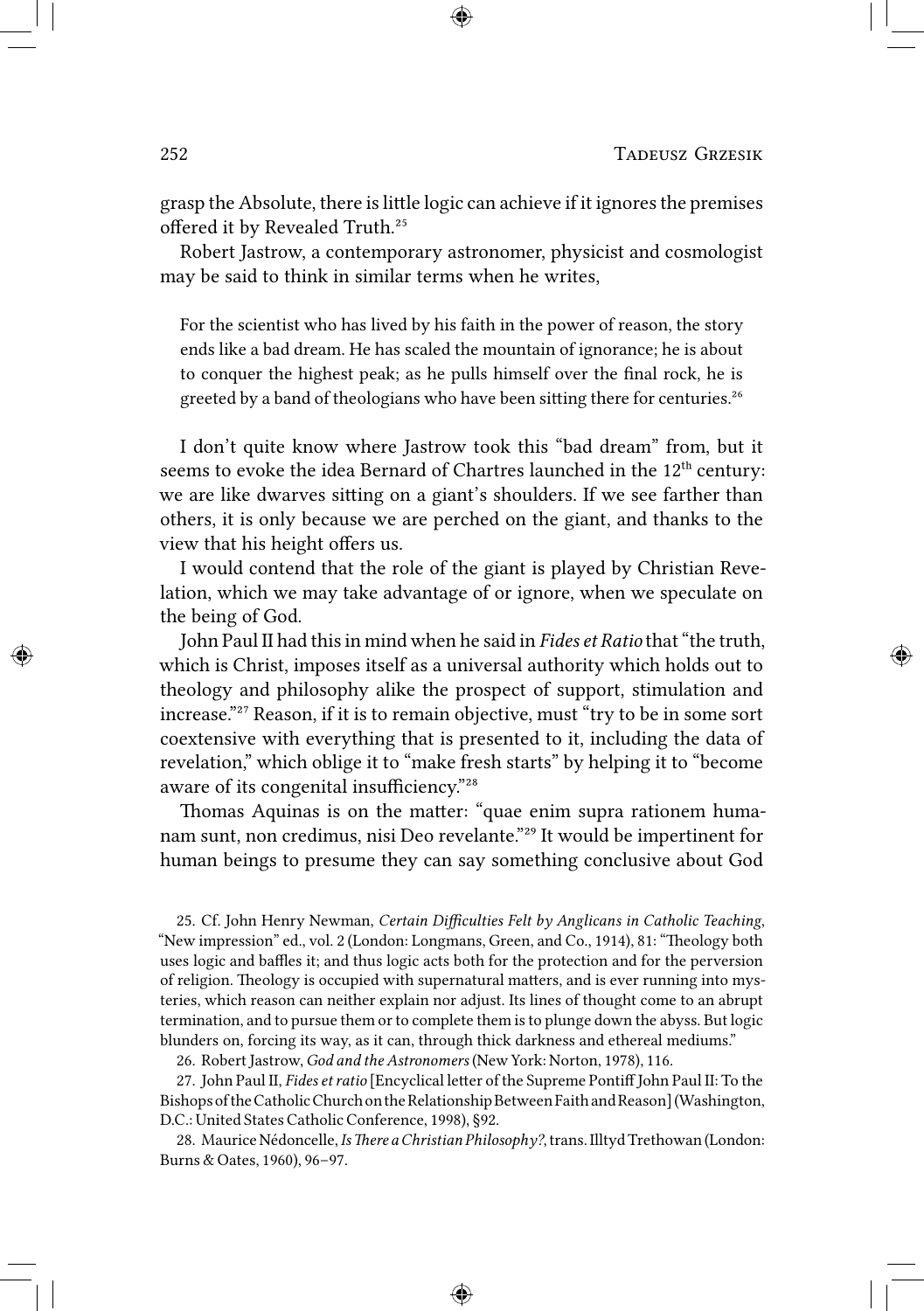grasp the Absolute, there is little logic can achieve if it ignores the premises offered it by Revealed Truth.<sup>25</sup>

Robert Jastrow, a contemporary astronomer, physicist and cosmologist may be said to think in similar terms when he writes,

For the scientist who has lived by his faith in the power of reason, the story ends like a bad dream. He has scaled the mountain of ignorance; he is about to conquer the highest peak; as he pulls himself over the final rock, he is greeted by a band of theologians who have been sitting there for centuries.<sup>26</sup>

I don't quite know where Jastrow took this "bad dream" from, but it seems to evoke the idea Bernard of Chartres launched in the 12<sup>th</sup> century: we are like dwarves sitting on a giant's shoulders. If we see farther than others, it is only because we are perched on the giant, and thanks to the view that his height offers us.

I would contend that the role of the giant is played by Christian Revelation, which we may take advantage of or ignore, when we speculate on the being of God.

John Paul II had this in mind when he said in *Fides et Ratio* that "the truth, which is Christ, imposes itself as a universal authority which holds out to theology and philosophy alike the prospect of support, stimulation and increase."<sup>27</sup> Reason, if it is to remain objective, must "try to be in some sort coextensive with everything that is presented to it, including the data of revelation," which oblige it to "make fresh starts" by helping it to "become aware of its congenital insufficiency."<sup>28</sup>

Thomas Aquinas is on the matter: "quae enim supra rationem humanam sunt, non credimus, nisi Deo revelante."<sup>29</sup> It would be impertinent for human beings to presume they can say something conclusive about God

25. Cf. John Henry Newman, *Certain Difficulties Felt by Anglicans in Catholic Teaching*, "New impression" ed., vol. 2 (London: Longmans, Green, and Co., 1914), 81: "Theology both uses logic and baffles it; and thus logic acts both for the protection and for the perversion of religion. Theology is occupied with supernatural matters, and is ever running into mysteries, which reason can neither explain nor adjust. Its lines of thought come to an abrupt termination, and to pursue them or to complete them is to plunge down the abyss. But logic blunders on, forcing its way, as it can, through thick darkness and ethereal mediums."

26. Robert Jastrow, *God and the Astronomers* (New York: Norton, 1978), 116.

27. John Paul II, *Fides et ratio* [Encyclical letter of the Supreme Pontiff John Paul II: To the BishopsoftheCatholicChurchontheRelationshipBetweenFaithandReason](Washington, D.C.: United States Catholic Conference, 1998), §92.

28. Maurice Nédoncelle, *Is There a Christian Philosophy?*, trans. Illtyd Trethowan (London: Burns & Oates, 1960), 96–97.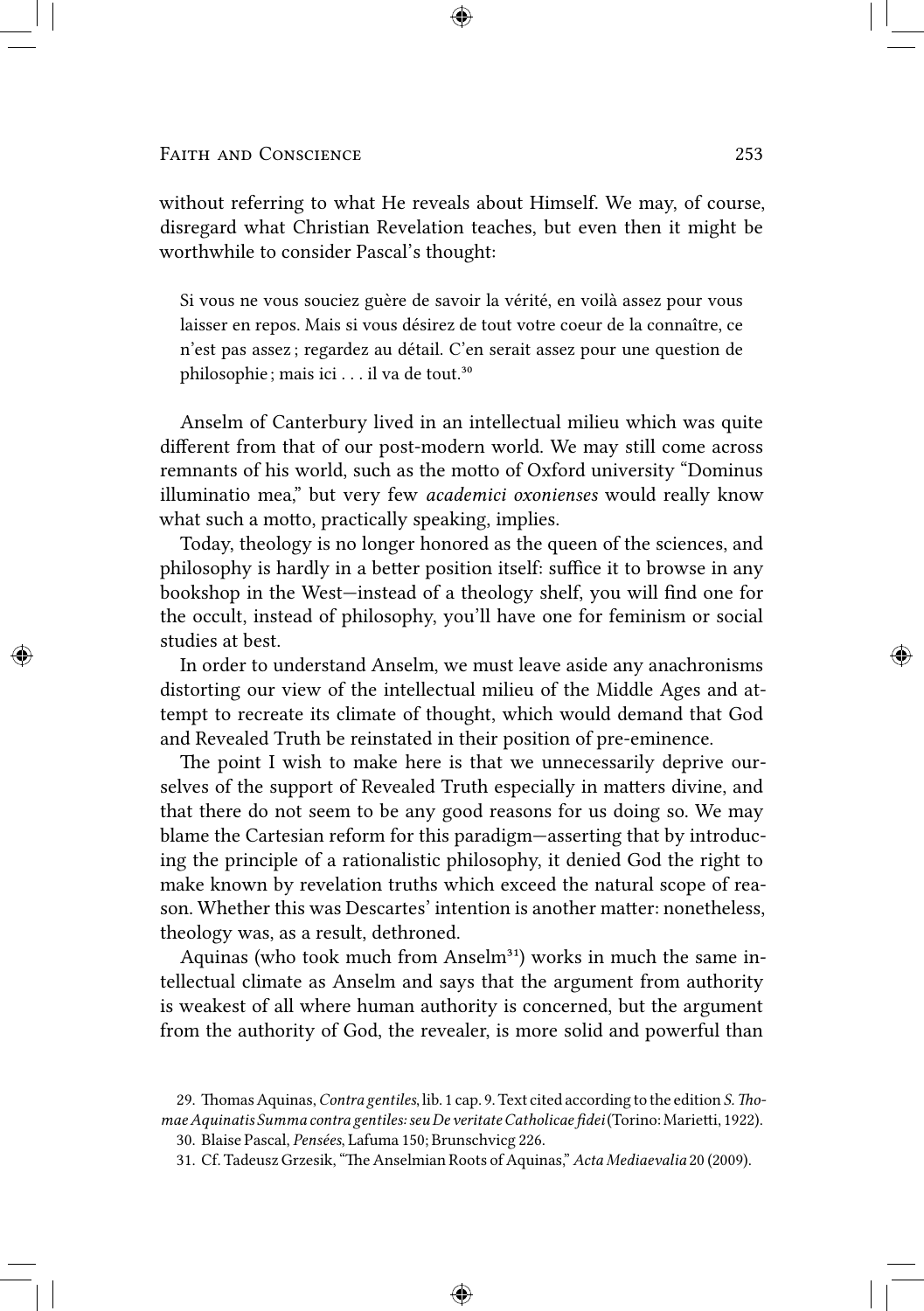without referring to what He reveals about Himself. We may, of course, disregard what Christian Revelation teaches, but even then it might be worthwhile to consider Pascal's thought:

Si vous ne vous souciez guère de savoir la vérité, en voilà assez pour vous laisser en repos. Mais si vous désirez de tout votre coeur de la connaître, ce n'est pas assez ; regardez au détail. C'en serait assez pour une question de philosophie; mais ici . . . il va de tout.<sup>30</sup>

Anselm of Canterbury lived in an intellectual milieu which was quite different from that of our post-modern world. We may still come across remnants of his world, such as the motto of Oxford university "Dominus illuminatio mea," but very few *academici oxonienses* would really know what such a motto, practically speaking, implies.

Today, theology is no longer honored as the queen of the sciences, and philosophy is hardly in a better position itself: suffice it to browse in any bookshop in the West—instead of a theology shelf, you will find one for the occult, instead of philosophy, you'll have one for feminism or social studies at best.

In order to understand Anselm, we must leave aside any anachronisms distorting our view of the intellectual milieu of the Middle Ages and attempt to recreate its climate of thought, which would demand that God and Revealed Truth be reinstated in their position of pre-eminence.

The point I wish to make here is that we unnecessarily deprive ourselves of the support of Revealed Truth especially in matters divine, and that there do not seem to be any good reasons for us doing so. We may blame the Cartesian reform for this paradigm—asserting that by introducing the principle of a rationalistic philosophy, it denied God the right to make known by revelation truths which exceed the natural scope of reason. Whether this was Descartes' intention is another matter: nonetheless, theology was, as a result, dethroned.

Aquinas (who took much from Anselm<sup>31</sup>) works in much the same intellectual climate as Anselm and says that the argument from authority is weakest of all where human authority is concerned, but the argument from the authority of God, the revealer, is more solid and powerful than

<sup>29.</sup> Thomas Aquinas, *Contra gentiles*, lib. 1 cap. 9. Text cited according to the edition *S. Tho*mae Aquinatis Summa contra gentiles: seu De veritate Catholicae fidei (Torino: Marietti, 1922).

<sup>30.</sup> Blaise Pascal, *Pensées*, Lafuma 150; Brunschvicg 226.

<sup>31.</sup> Cf. Tadeusz Grzesik, "The Anselmian Roots of Aquinas," Acta Mediaevalia 20 (2009).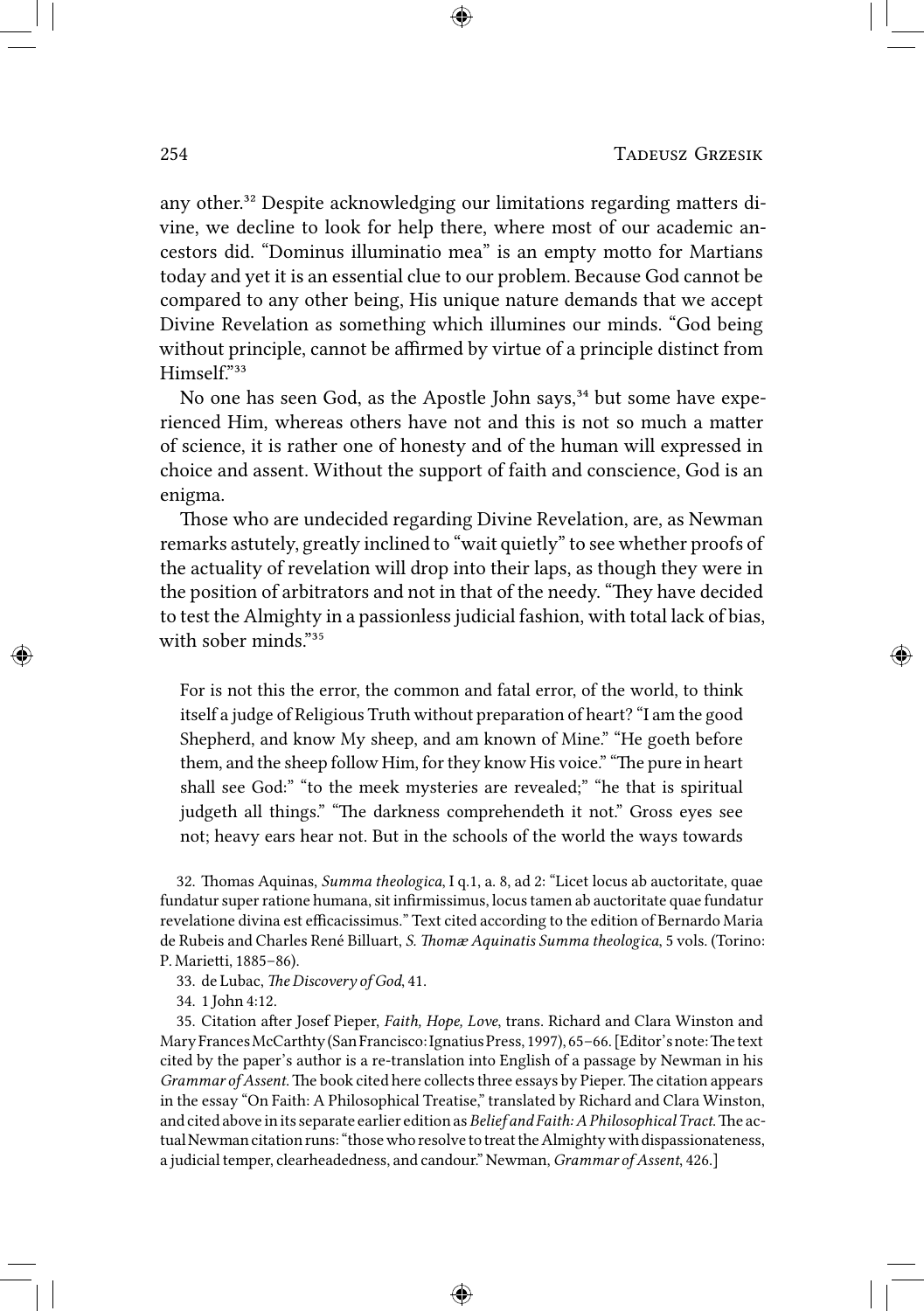any other.<sup>32</sup> Despite acknowledging our limitations regarding matters divine, we decline to look for help there, where most of our academic ancestors did. "Dominus illuminatio mea" is an empty motto for Martians today and yet it is an essential clue to our problem. Because God cannot be compared to any other being, His unique nature demands that we accept Divine Revelation as something which illumines our minds. "God being without principle, cannot be affirmed by virtue of a principle distinct from Himself."33

No one has seen God, as the Apostle John says,<sup>34</sup> but some have experienced Him, whereas others have not and this is not so much a matter of science, it is rather one of honesty and of the human will expressed in choice and assent. Without the support of faith and conscience, God is an enigma.

Those who are undecided regarding Divine Revelation, are, as Newman remarks astutely, greatly inclined to "wait quietly" to see whether proofs of the actuality of revelation will drop into their laps, as though they were in the position of arbitrators and not in that of the needy. "They have decided to test the Almighty in a passionless judicial fashion, with total lack of bias, with sober minds."<sup>35</sup>

For is not this the error, the common and fatal error, of the world, to think itself a judge of Religious Truth without preparation of heart? "I am the good Shepherd, and know My sheep, and am known of Mine." "He goeth before them, and the sheep follow Him, for they know His voice." "The pure in heart shall see God:" "to the meek mysteries are revealed;" "he that is spiritual judgeth all things." "The darkness comprehendeth it not." Gross eyes see not; heavy ears hear not. But in the schools of the world the ways towards

32. Thomas Aquinas, *Summa theologica*, I q.1, a. 8, ad 2: "Licet locus ab auctoritate, quae fundatur super ratione humana, sit infirmissimus, locus tamen ab auctoritate quae fundatur revelatione divina est efficacissimus." Text cited according to the edition of Bernardo Maria de Rubeis and Charles René Billuart, *S. Thomæ Aquinatis Summa theologica*, 5 vols. (Torino: P. Marietti, 1885-86).

33. de Lubac, *The Discovery of God*, 41.

34. 1 John 4:12.

35. Citation after Josef Pieper, *Faith, Hope, Love*, trans. Richard and Clara Winston and Mary Frances McCarthty (San Francisco: Ignatius Press, 1997), 65-66. [Editor's note: The text cited by the paper's author is a re-translation into English of a passage by Newman in his *Grammar of Assent*. The book cited here collects three essays by Pieper. The citation appears in the essay "On Faith: A Philosophical Treatise," translated by Richard and Clara Winston, and cited above in its separate earlier edition as *Belief and Faith: A Philosophical Tract*. The actual Newman citation runs: "those who resolve to treat the Almighty with dispassionateness, a judicial temper, clearheadedness, and candour." Newman, *Grammar of Assent*, 426.]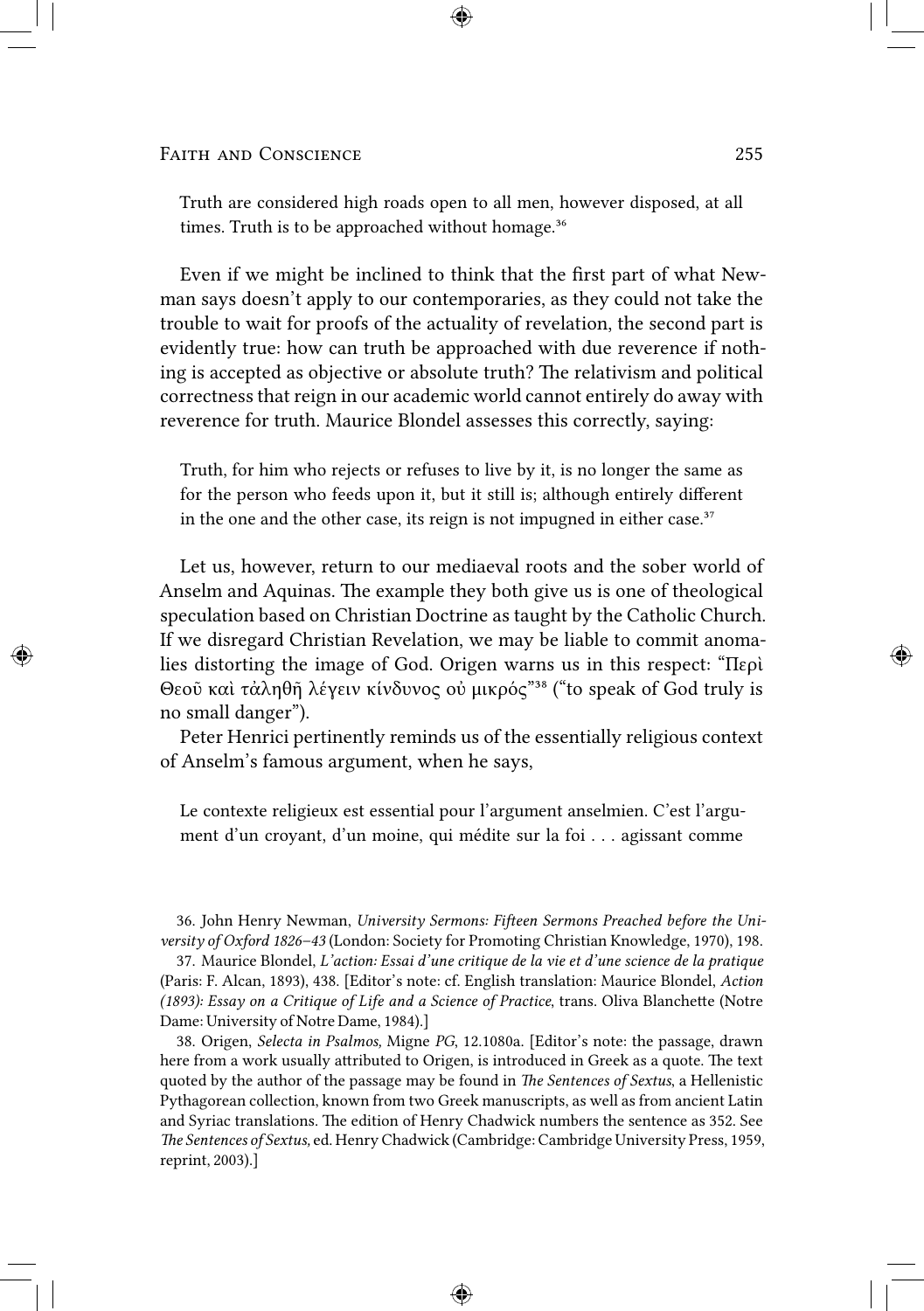Truth are considered high roads open to all men, however disposed, at all times. Truth is to be approached without homage. $36$ 

Even if we might be inclined to think that the first part of what Newman says doesn't apply to our contemporaries, as they could not take the trouble to wait for proofs of the actuality of revelation, the second part is evidently true: how can truth be approached with due reverence if nothing is accepted as objective or absolute truth? The relativism and political correctness that reign in our academic world cannot entirely do away with reverence for truth. Maurice Blondel assesses this correctly, saying:

Truth, for him who rejects or refuses to live by it, is no longer the same as for the person who feeds upon it, but it still is; although entirely different in the one and the other case, its reign is not impugned in either case. $37$ 

Let us, however, return to our mediaeval roots and the sober world of Anselm and Aquinas. The example they both give us is one of theological speculation based on Christian Doctrine as taught by the Catholic Church. If we disregard Christian Revelation, we may be liable to commit anomalies distorting the image of God. Origen warns us in this respect: "Περὶ Θεοῦ καὶ τἀληθῆ λέγειν κίνδυνος οὐ μικρός"<sup>38</sup> ("to speak of God truly is no small danger").

Peter Henrici pertinently reminds us of the essentially religious context of Anselm's famous argument, when he says,

Le contexte religieux est essential pour l'argument anselmien. C'est l'argument d'un croyant, d'un moine, qui médite sur la foi . . . agissant comme

36. John Henry Newman, *University Sermons: Fieen Sermons Preached before the University of Oxford 1826–43* (London: Society for Promoting Christian Knowledge, 1970), 198.

37. Maurice Blondel, *L'action: Essai d'une critique de la vie et d'une science de la pratique* (Paris: F. Alcan, 1893), 438. [Editor's note: cf. English translation: Maurice Blondel, *Action (1893): Essay on a Critique of Life and a Science of Practice, trans. Oliva Blanchette (Notre* Dame: University of Notre Dame, 1984).]

38. Origen, *Selecta in Psalmos,* Migne *PG*, 12.1080a. [Editor's note: the passage, drawn here from a work usually attributed to Origen, is introduced in Greek as a quote. The text quoted by the author of the passage may be found in *The Sentences of Sextus*, a Hellenistic Pythagorean collection, known from two Greek manuscripts, as well as from ancient Latin and Syriac translations. The edition of Henry Chadwick numbers the sentence as 352. See *e Sentences of Sextus,* ed. Henry Chadwick (Cambridge: Cambridge University Press, 1959, reprint, 2003).]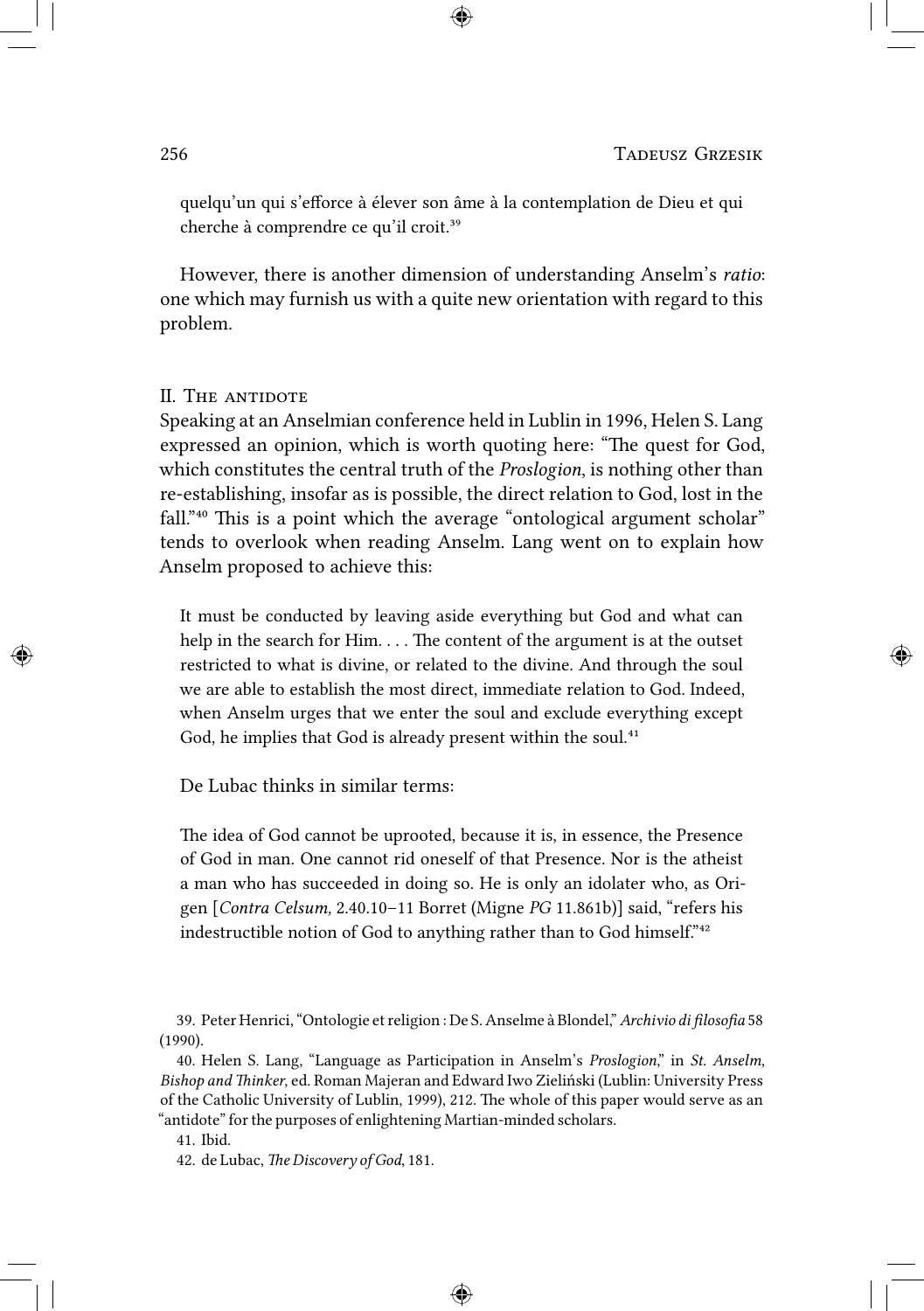quelqu'un qui s'efforce à élever son âme à la contemplation de Dieu et qui cherche à comprendre ce qu'il croit.<sup>39</sup>

However, there is another dimension of understanding Anselm's *ratio*: one which may furnish us with a quite new orientation with regard to this problem.

# II. THE ANTIDOTE

Speaking at an Anselmian conference held in Lublin in 1996, Helen S. Lang expressed an opinion, which is worth quoting here: "The quest for God, which constitutes the central truth of the *Proslogion*, is nothing other than re-establishing, insofar as is possible, the direct relation to God, lost in the fall."<sup>40</sup> This is a point which the average "ontological argument scholar" tends to overlook when reading Anselm. Lang went on to explain how Anselm proposed to achieve this:

It must be conducted by leaving aside everything but God and what can help in the search for Him.  $\dots$  The content of the argument is at the outset restricted to what is divine, or related to the divine. And through the soul we are able to establish the most direct, immediate relation to God. Indeed, when Anselm urges that we enter the soul and exclude everything except God, he implies that God is already present within the soul.<sup>41</sup>

De Lubac thinks in similar terms:

The idea of God cannot be uprooted, because it is, in essence, the Presence of God in man. One cannot rid oneself of that Presence. Nor is the atheist a man who has succeeded in doing so. He is only an idolater who, as Origen [*Contra Celsum,* 2.40.10–11 Borret (Migne *PG* 11.861b)] said, "refers his indestructible notion of God to anything rather than to God himself."<sup>42</sup>

39. Peter Henrici, "Ontologie et religion : De S. Anselme à Blondel,"*Archivio di filosofia* 58 (1990).

40. Helen S. Lang, "Language as Participation in Anselm's *Proslogion*," in *St. Anselm, Bishop and inker*, ed. Roman Majeran and Edward Iwo Zieliński (Lublin: University Press of the Catholic University of Lublin, 1999), 212. The whole of this paper would serve as an "antidote" for the purposes of enlightening Martian-minded scholars.

41. Ibid.

42. de Lubac, *The Discovery of God*, 181.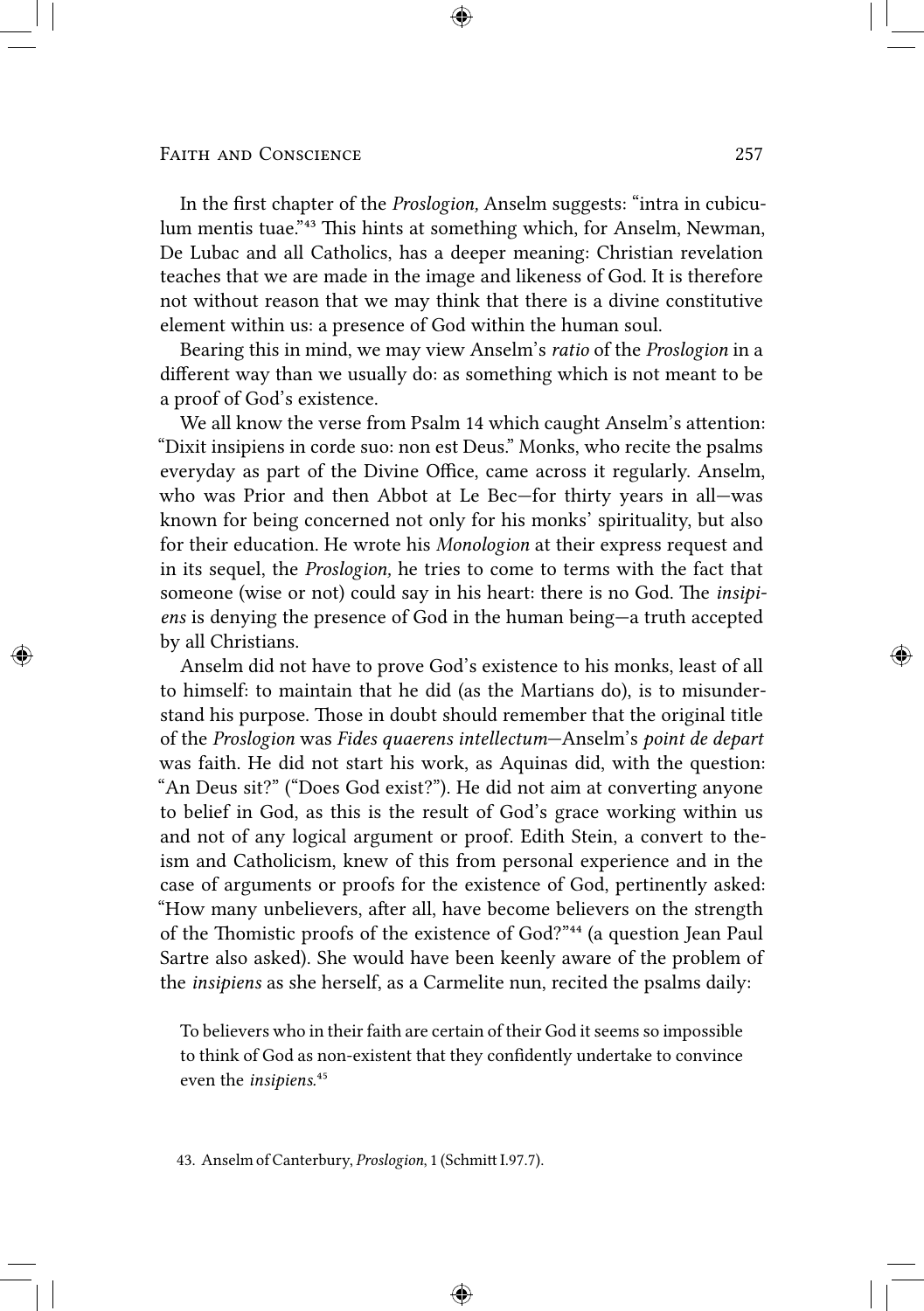### FAITH AND CONSCIENCE 257

In the first chapter of the *Proslogion,* Anselm suggests: "intra in cubiculum mentis tuae."<sup>43</sup> This hints at something which, for Anselm, Newman, De Lubac and all Catholics, has a deeper meaning: Christian revelation teaches that we are made in the image and likeness of God. It is therefore not without reason that we may think that there is a divine constitutive element within us: a presence of God within the human soul.

Bearing this in mind, we may view Anselm's *ratio* of the *Proslogion* in a different way than we usually do: as something which is not meant to be a proof of God's existence.

We all know the verse from Psalm 14 which caught Anselm's attention: "Dixit insipiens in corde suo: non est Deus." Monks, who recite the psalms everyday as part of the Divine Office, came across it regularly. Anselm, who was Prior and then Abbot at Le Bec—for thirty years in all—was known for being concerned not only for his monks' spirituality, but also for their education. He wrote his *Monologion* at their express request and in its sequel, the *Proslogion,* he tries to come to terms with the fact that someone (wise or not) could say in his heart: there is no God. The *insipiens* is denying the presence of God in the human being—a truth accepted by all Christians.

Anselm did not have to prove God's existence to his monks, least of all to himself: to maintain that he did (as the Martians do), is to misunderstand his purpose. Those in doubt should remember that the original title of the *Proslogion* was *Fides quaerens intellectum*—Anselm's *point de depart* was faith. He did not start his work, as Aquinas did, with the question: "An Deus sit?" ("Does God exist?"). He did not aim at converting anyone to belief in God, as this is the result of God's grace working within us and not of any logical argument or proof. Edith Stein, a convert to theism and Catholicism, knew of this from personal experience and in the case of arguments or proofs for the existence of God, pertinently asked: "How many unbelievers, after all, have become believers on the strength of the Thomistic proofs of the existence of God?"<sup>44</sup> (a question Jean Paul Sartre also asked). She would have been keenly aware of the problem of the *insipiens* as she herself, as a Carmelite nun, recited the psalms daily:

To believers who in their faith are certain of their God it seems so impossible to think of God as non-existent that they confidently undertake to convince even the *insipiens*.<sup>45</sup>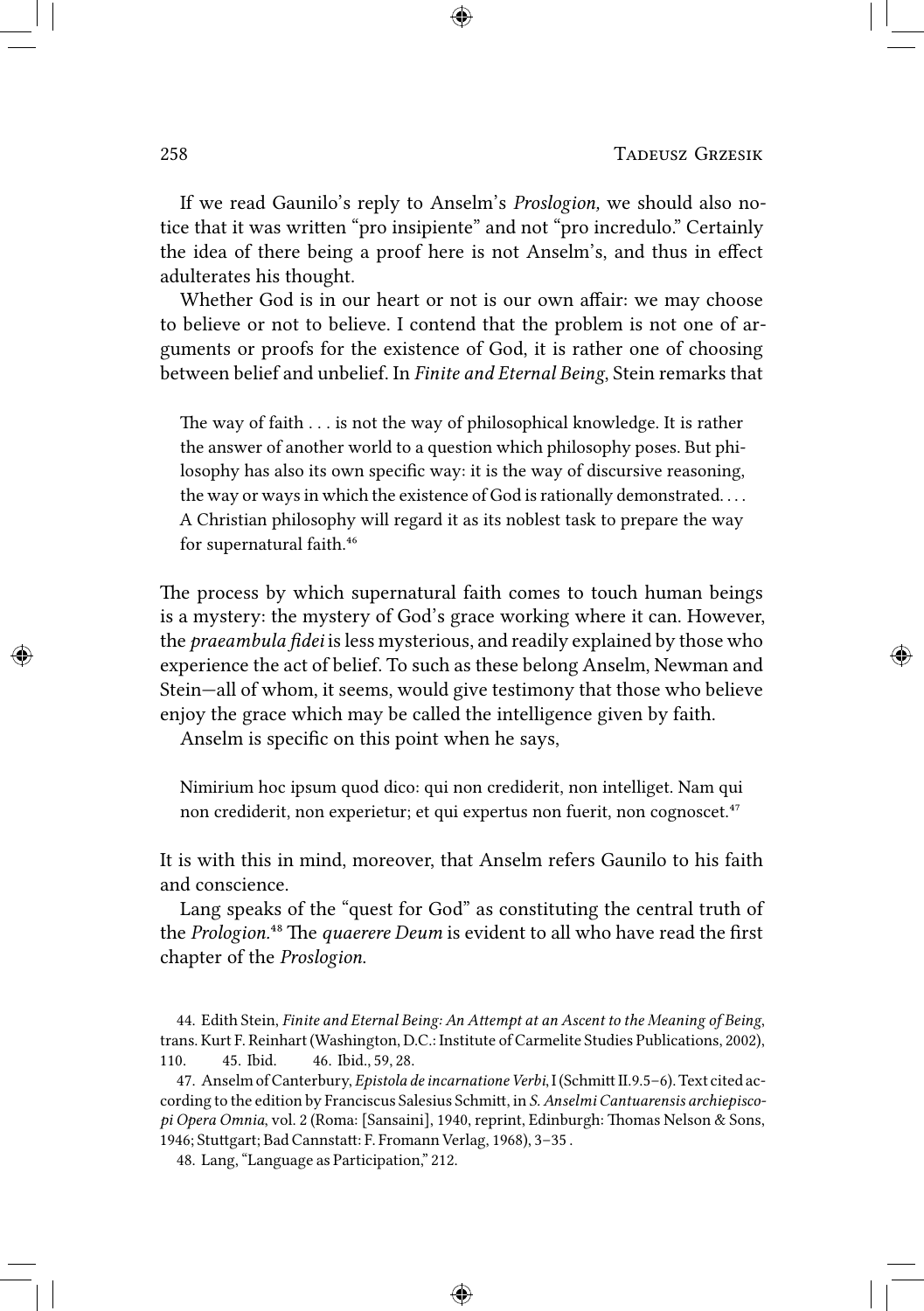If we read Gaunilo's reply to Anselm's *Proslogion,* we should also notice that it was written "pro insipiente" and not "pro incredulo." Certainly the idea of there being a proof here is not Anselm's, and thus in effect adulterates his thought.

Whether God is in our heart or not is our own affair: we may choose to believe or not to believe. I contend that the problem is not one of arguments or proofs for the existence of God, it is rather one of choosing between belief and unbelief. In *Finite and Eternal Being*, Stein remarks that

The way of faith  $\dots$  is not the way of philosophical knowledge. It is rather the answer of another world to a question which philosophy poses. But philosophy has also its own specific way: it is the way of discursive reasoning, the way or ways in which the existence of God is rationally demonstrated. . . . A Christian philosophy will regard it as its noblest task to prepare the way for supernatural faith.<sup>46</sup>

The process by which supernatural faith comes to touch human beings is a mystery: the mystery of God's grace working where it can. However, the *praeambula fidei* is less mysterious, and readily explained by those who experience the act of belief. To such as these belong Anselm, Newman and Stein—all of whom, it seems, would give testimony that those who believe enjoy the grace which may be called the intelligence given by faith.

Anselm is specific on this point when he says,

Nimirium hoc ipsum quod dico: qui non crediderit, non intelliget. Nam qui non crediderit, non experietur; et qui expertus non fuerit, non cognoscet.<sup>47</sup>

It is with this in mind, moreover, that Anselm refers Gaunilo to his faith and conscience.

Lang speaks of the "quest for God" as constituting the central truth of the *Prologion*.<sup>48</sup> The *quaerere Deum* is evident to all who have read the first chapter of the *Proslogion*.

- 44. Edith Stein, *Finite and Eternal Being: An Attempt at an Ascent to the Meaning of Being*, trans. Kurt F. Reinhart (Washington, D.C.: Institute of Carmelite Studies Publications, 2002), 110. 45. Ibid. 46. Ibid., 59, 28.
- 47. Anselm of Canterbury, *Epistola de incarnatione Verbi*, I (Schmitt II.9.5–6). Text cited according to the edition by Franciscus Salesius Schmi, in *S. Anselmi Cantuarensis archiepiscopi Opera Omnia*, vol. 2 (Roma: [Sansaini], 1940, reprint, Edinburgh: Thomas Nelson & Sons, 1946; Stuttgart; Bad Cannstatt: F. Fromann Verlag, 1968), 3-35.

48. Lang, "Language as Participation," 212.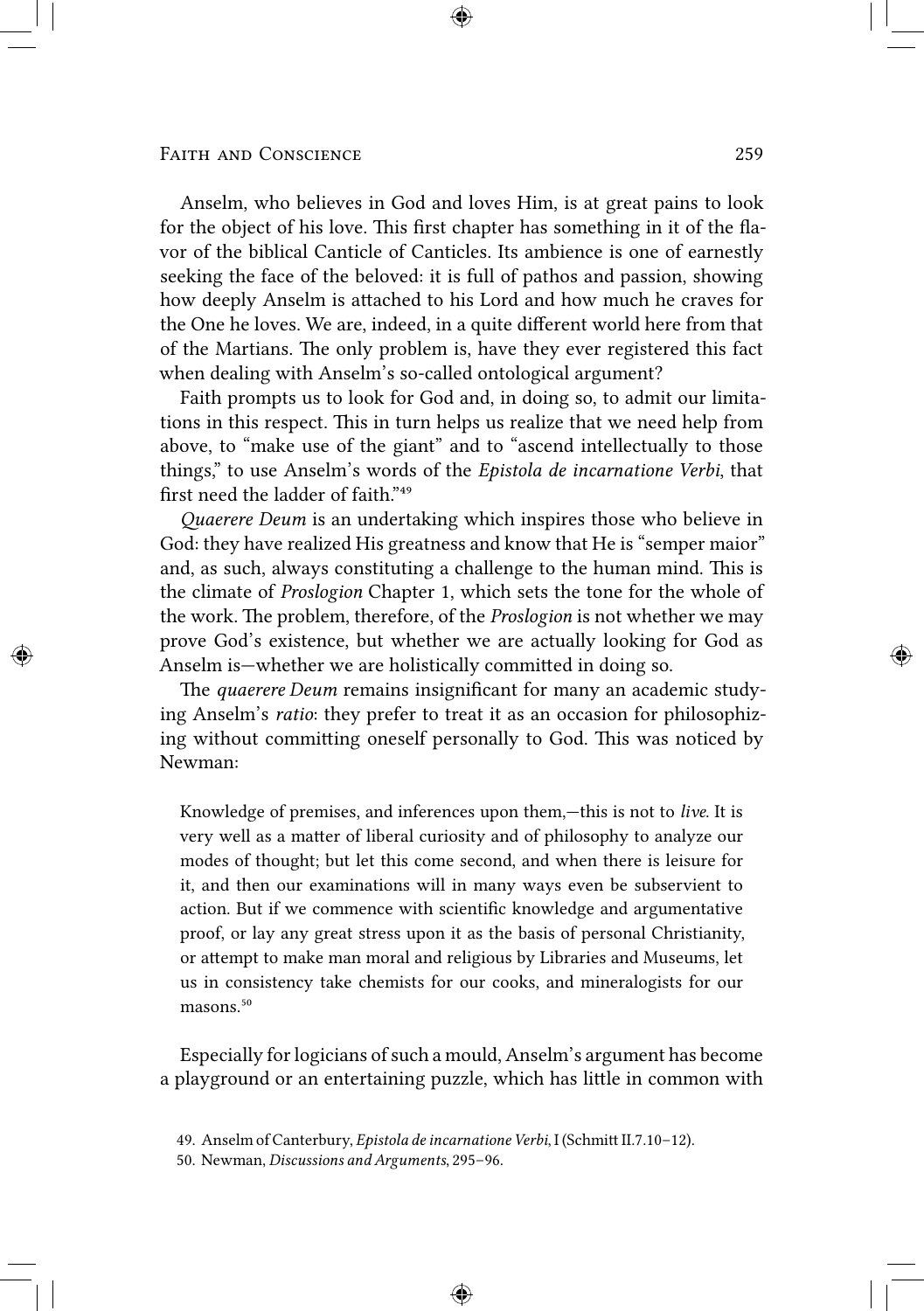Anselm, who believes in God and loves Him, is at great pains to look for the object of his love. This first chapter has something in it of the flavor of the biblical Canticle of Canticles. Its ambience is one of earnestly seeking the face of the beloved: it is full of pathos and passion, showing how deeply Anselm is attached to his Lord and how much he craves for the One he loves. We are, indeed, in a quite different world here from that of the Martians. The only problem is, have they ever registered this fact when dealing with Anselm's so-called ontological argument?

Faith prompts us to look for God and, in doing so, to admit our limitations in this respect. This in turn helps us realize that we need help from above, to "make use of the giant" and to "ascend intellectually to those things," to use Anselm's words of the *Epistola de incarnatione Verbi*, that first need the ladder of faith."49

*Quaerere Deum* is an undertaking which inspires those who believe in God: they have realized His greatness and know that He is "semper maior" and, as such, always constituting a challenge to the human mind. This is the climate of *Proslogion* Chapter 1, which sets the tone for the whole of the work. The problem, therefore, of the *Proslogion* is not whether we may prove God's existence, but whether we are actually looking for God as Anselm is—whether we are holistically committed in doing so.

The *quaerere Deum* remains insignificant for many an academic studying Anselm's *ratio*: they prefer to treat it as an occasion for philosophizing without committing oneself personally to God. This was noticed by Newman:

Knowledge of premises, and inferences upon them,—this is not to *live*. It is very well as a matter of liberal curiosity and of philosophy to analyze our modes of thought; but let this come second, and when there is leisure for it, and then our examinations will in many ways even be subservient to action. But if we commence with scientific knowledge and argumentative proof, or lay any great stress upon it as the basis of personal Christianity, or attempt to make man moral and religious by Libraries and Museums, let us in consistency take chemists for our cooks, and mineralogists for our masons.<sup>50</sup>

Especially for logicians of such a mould, Anselm's argument has become a playground or an entertaining puzzle, which has little in common with

<sup>49.</sup> Anselm of Canterbury, *Epistola de incarnatione Verbi*, I (Schmitt II.7.10-12).

<sup>50.</sup> Newman, *Discussions and Arguments*, 295–96.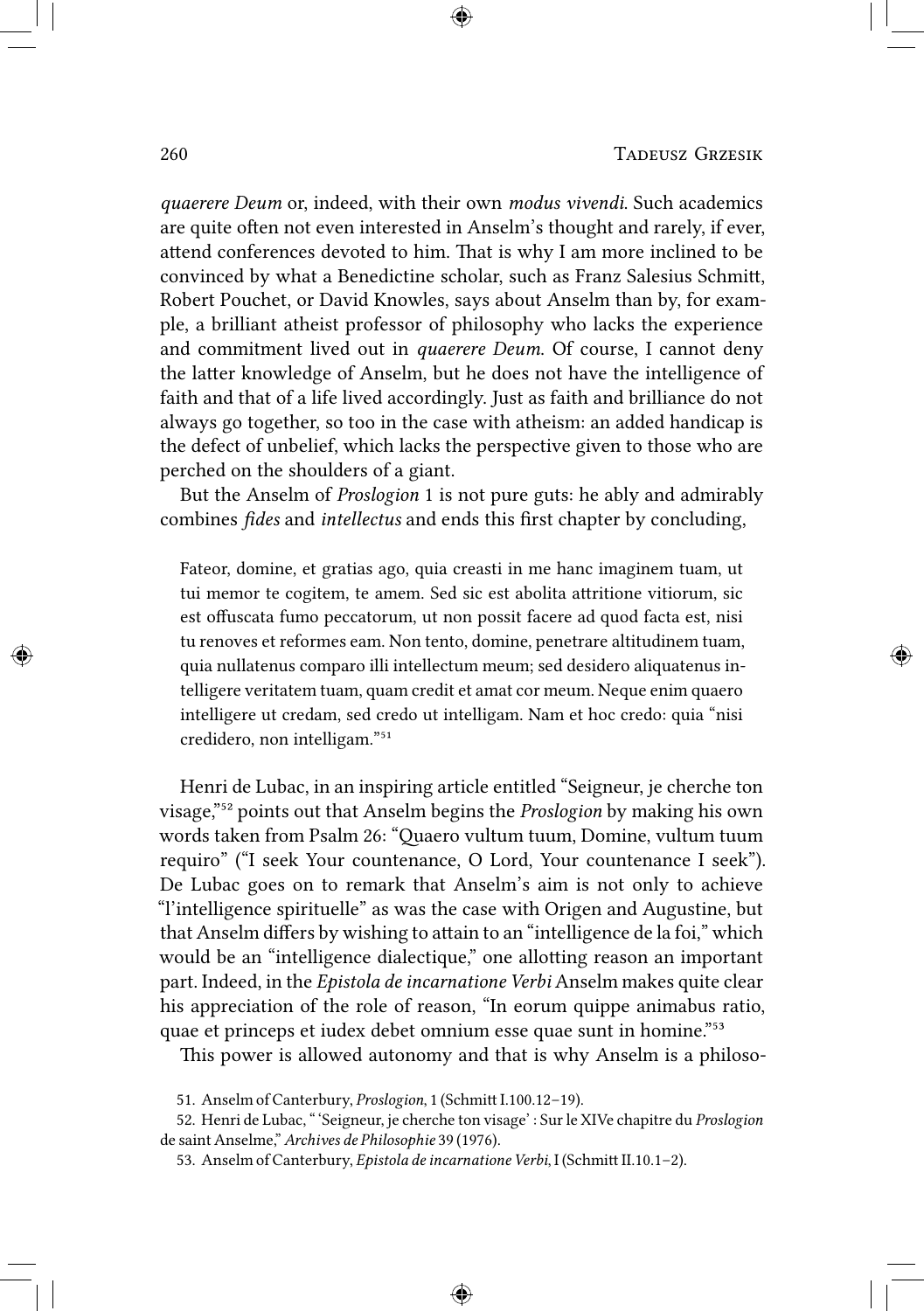*quaerere Deum* or, indeed, with their own *modus vivendi*. Such academics are quite often not even interested in Anselm's thought and rarely, if ever, attend conferences devoted to him. That is why I am more inclined to be convinced by what a Benedictine scholar, such as Franz Salesius Schmitt, Robert Pouchet, or David Knowles, says about Anselm than by, for example, a brilliant atheist professor of philosophy who lacks the experience and commitment lived out in *quaerere Deum*. Of course, I cannot deny the latter knowledge of Anselm, but he does not have the intelligence of faith and that of a life lived accordingly. Just as faith and brilliance do not always go together, so too in the case with atheism: an added handicap is the defect of unbelief, which lacks the perspective given to those who are perched on the shoulders of a giant.

But the Anselm of *Proslogion* 1 is not pure guts: he ably and admirably combines *fides* and *intellectus* and ends this first chapter by concluding,

Fateor, domine, et gratias ago, quia creasti in me hanc imaginem tuam, ut tui memor te cogitem, te amem. Sed sic est abolita attritione vitiorum, sic est offuscata fumo peccatorum, ut non possit facere ad quod facta est, nisi tu renoves et reformes eam. Non tento, domine, penetrare altitudinem tuam, quia nullatenus comparo illi intellectum meum; sed desidero aliquatenus intelligere veritatem tuam, quam credit et amat cor meum. Neque enim quaero intelligere ut credam, sed credo ut intelligam. Nam et hoc credo: quia "nisi credidero, non intelligam."<sup>51</sup>

Henri de Lubac, in an inspiring article entitled "Seigneur, je cherche ton visage,"⁵² points out that Anselm begins the *Proslogion* by making his own words taken from Psalm 26: "Quaero vultum tuum, Domine, vultum tuum requiro" ("I seek Your countenance, O Lord, Your countenance I seek"). De Lubac goes on to remark that Anselm's aim is not only to achieve "l'intelligence spirituelle" as was the case with Origen and Augustine, but that Anselm differs by wishing to attain to an "intelligence de la foi," which would be an "intelligence dialectique," one allotting reason an important part. Indeed, in the *Epistola de incarnatione Verbi* Anselm makes quite clear his appreciation of the role of reason, "In eorum quippe animabus ratio, quae et princeps et iudex debet omnium esse quae sunt in homine."<sup>53</sup>

This power is allowed autonomy and that is why Anselm is a philoso-

<sup>51.</sup> Anselm of Canterbury, *Proslogion*, 1 (Schmitt I.100.12-19).

<sup>52.</sup> Henri de Lubac, " 'Seigneur, je cherche ton visage' : Sur le XIVe chapitre du *Proslogion* de saint Anselme," *Archives de Philosophie* 39 (1976).

<sup>53.</sup> Anselm of Canterbury, *Epistola de incarnatione Verbi*, I (Schmitt II.10.1-2).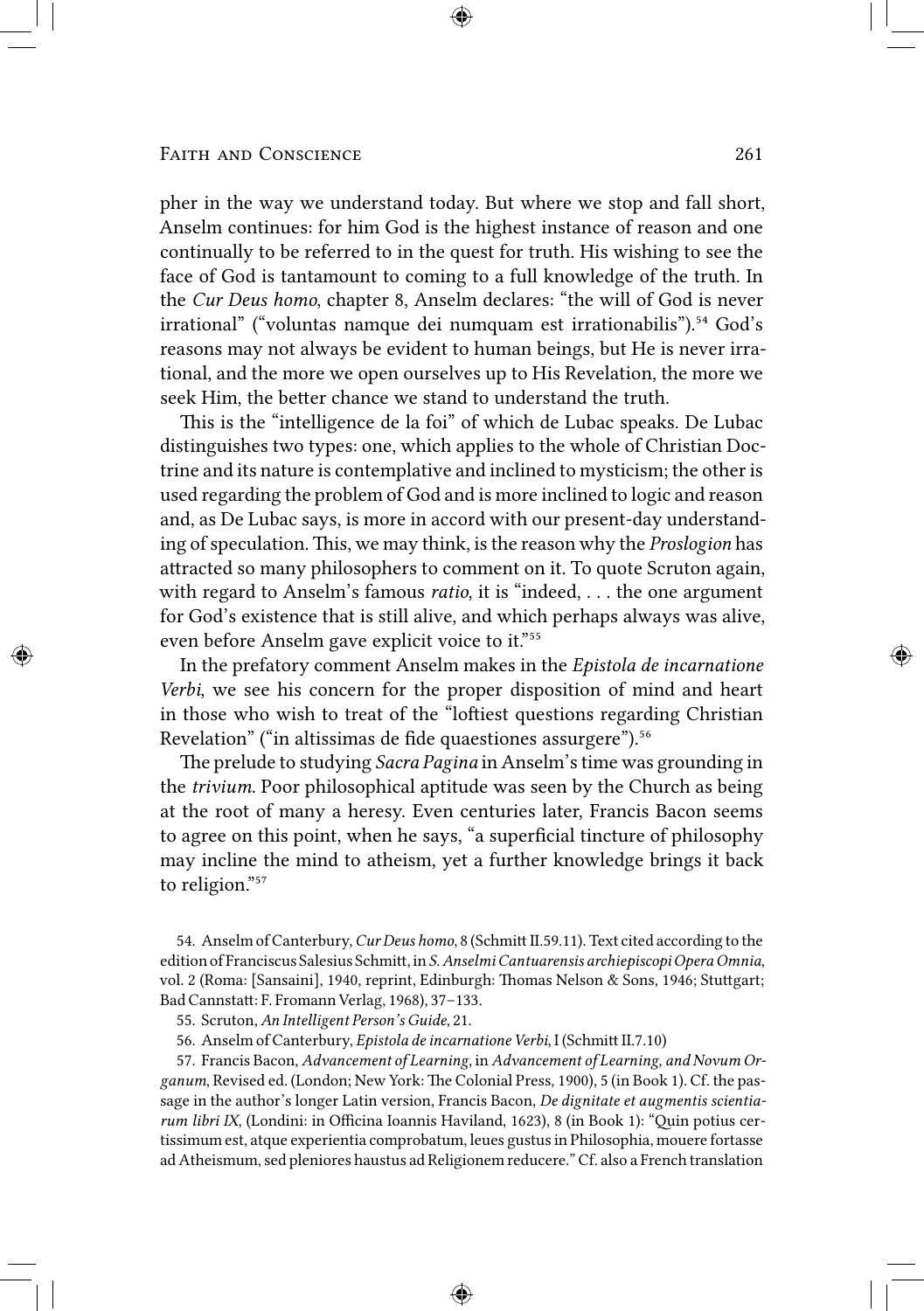pher in the way we understand today. But where we stop and fall short, Anselm continues: for him God is the highest instance of reason and one continually to be referred to in the quest for truth. His wishing to see the face of God is tantamount to coming to a full knowledge of the truth. In the *Cur Deus homo*, chapter 8, Anselm declares: "the will of God is never irrational" ("voluntas namque dei numquam est irrationabilis").<sup>54</sup> God's reasons may not always be evident to human beings, but He is never irrational, and the more we open ourselves up to His Revelation, the more we seek Him, the better chance we stand to understand the truth.

This is the "intelligence de la foi" of which de Lubac speaks. De Lubac distinguishes two types: one, which applies to the whole of Christian Doctrine and its nature is contemplative and inclined to mysticism; the other is used regarding the problem of God and is more inclined to logic and reason and, as De Lubac says, is more in accord with our present-day understanding of speculation. This, we may think, is the reason why the *Proslogion* has attracted so many philosophers to comment on it. To quote Scruton again, with regard to Anselm's famous *ratio*, it is "indeed, . . . the one argument for God's existence that is still alive, and which perhaps always was alive, even before Anselm gave explicit voice to it."<sup>55</sup>

In the prefatory comment Anselm makes in the *Epistola de incarnatione Verbi*, we see his concern for the proper disposition of mind and heart in those who wish to treat of the "loftiest questions regarding Christian Revelation" ("in altissimas de fide quaestiones assurgere").<sup>56</sup>

e prelude to studying *Sacra Pagina* in Anselm's time was grounding in the *trivium*. Poor philosophical aptitude was seen by the Church as being at the root of many a heresy. Even centuries later, Francis Bacon seems to agree on this point, when he says, "a superficial tincture of philosophy may incline the mind to atheism, yet a further knowledge brings it back to religion."57

54. Anselm of Canterbury, *Cur Deus homo*, 8 (Schmitt II.59.11). Text cited according to the edition of Franciscus Salesius Schmitt, in *S. Anselmi Cantuarensis archiepiscopi Opera Omnia*, vol. 2 (Roma: [Sansaini], 1940, reprint, Edinburgh: Thomas Nelson & Sons, 1946; Stuttgart; Bad Cannstatt: F. Fromann Verlag, 1968), 37-133.

55. Scruton, *An Intelligent Person's Guide*, 21.

56. Anselm of Canterbury, *Epistola de incarnatione Verbi*, I (Schmitt II.7.10)

57. Francis Bacon, *Advancement of Learning*, in *Advancement of Learning, and Novum Organum*, Revised ed. (London; New York: The Colonial Press, 1900), 5 (in Book 1). Cf. the passage in the author's longer Latin version, Francis Bacon, *De dignitate et augmentis scientiarum libri IX*, (Londini: in Officina Ioannis Haviland, 1623), 8 (in Book 1): "Quin potius certissimum est, atque experientia comprobatum, leues gustus in Philosophia, mouere fortasse ad Atheismum, sed pleniores haustus ad Religionem reducere." Cf. also a French translation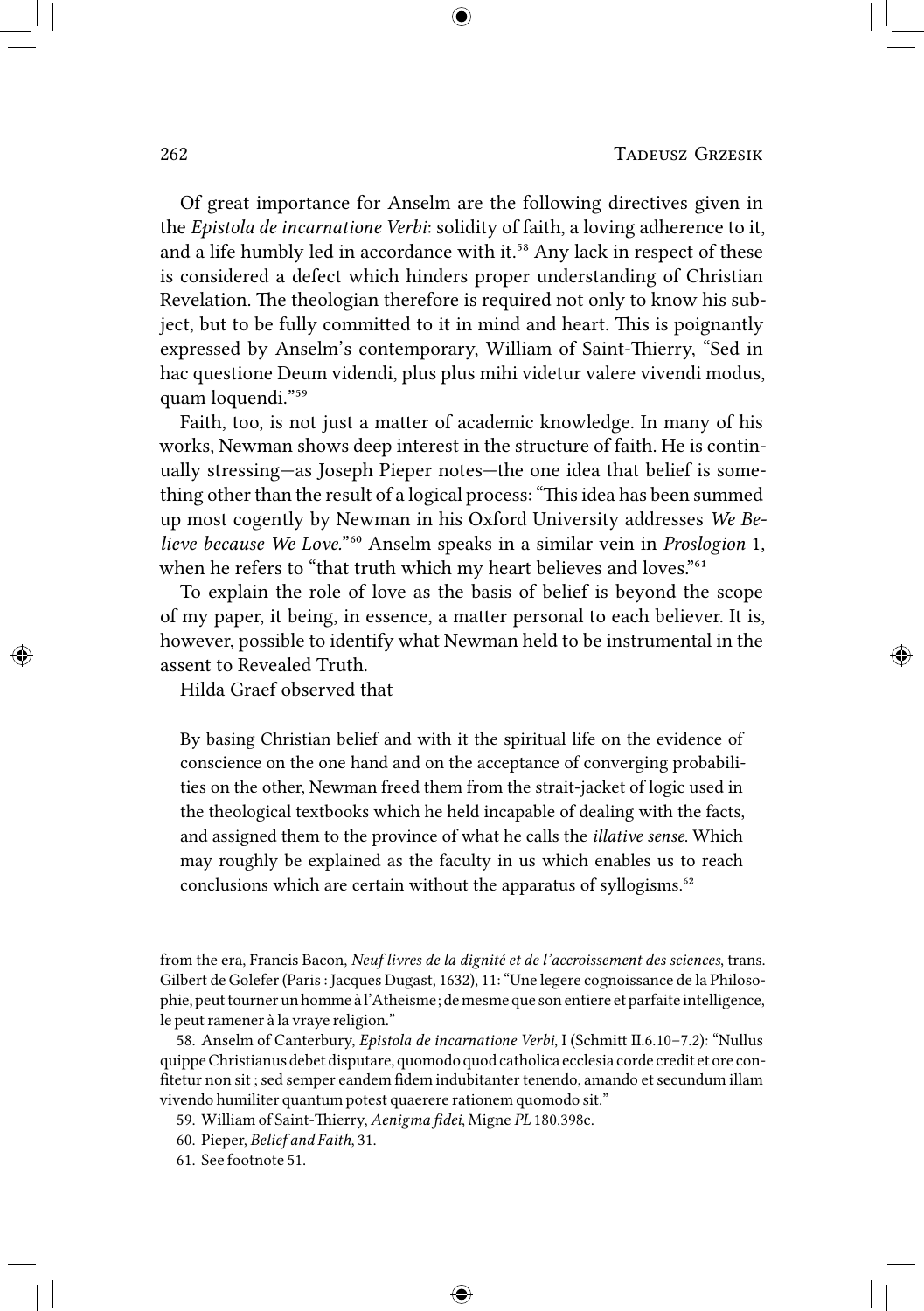Of great importance for Anselm are the following directives given in the *Epistola de incarnatione Verbi*: solidity of faith, a loving adherence to it, and a life humbly led in accordance with it.<sup>58</sup> Any lack in respect of these is considered a defect which hinders proper understanding of Christian Revelation. The theologian therefore is required not only to know his subject, but to be fully committed to it in mind and heart. This is poignantly expressed by Anselm's contemporary, William of Saint-Thierry, "Sed in hac questione Deum videndi, plus plus mihi videtur valere vivendi modus, quam loquendi."<sup>59</sup>

Faith, too, is not just a matter of academic knowledge. In many of his works, Newman shows deep interest in the structure of faith. He is continually stressing—as Joseph Pieper notes—the one idea that belief is something other than the result of a logical process: "This idea has been summed up most cogently by Newman in his Oxford University addresses *We Believe because We Love.*"⁶⁰ Anselm speaks in a similar vein in *Proslogion* 1, when he refers to "that truth which my heart believes and loves."<sup>61</sup>

To explain the role of love as the basis of belief is beyond the scope of my paper, it being, in essence, a matter personal to each believer. It is, however, possible to identify what Newman held to be instrumental in the assent to Revealed Truth.

Hilda Graef observed that

By basing Christian belief and with it the spiritual life on the evidence of conscience on the one hand and on the acceptance of converging probabilities on the other, Newman freed them from the strait-jacket of logic used in the theological textbooks which he held incapable of dealing with the facts, and assigned them to the province of what he calls the *illative sense*. Which may roughly be explained as the faculty in us which enables us to reach conclusions which are certain without the apparatus of syllogisms.<sup>62</sup>

from the era, Francis Bacon, *Neuf livres de la dignité et de l'accroissement des sciences*, trans. Gilbert de Golefer (Paris : Jacques Dugast, 1632), 11: "Une legere cognoissance de la Philosophie, peut tourner un homme à l'Atheisme; de mesme que son entiere et parfaite intelligence, le peut ramener à la vraye religion."

58. Anselm of Canterbury, *Epistola de incarnatione Verbi*, I (Schmitt II.6.10-7.2): "Nullus quippe Christianus debet disputare, quomodo quod catholica ecclesia corde credit et ore confitetur non sit ; sed semper eandem fidem indubitanter tenendo, amando et secundum illam vivendo humiliter quantum potest quaerere rationem quomodo sit."

59. William of Saint-Thierry, *Aenigma fidei*, Migne *PL* 180.398c.

- 60. Pieper, *Belief and Faith*, 31.
- 61. See footnote 51.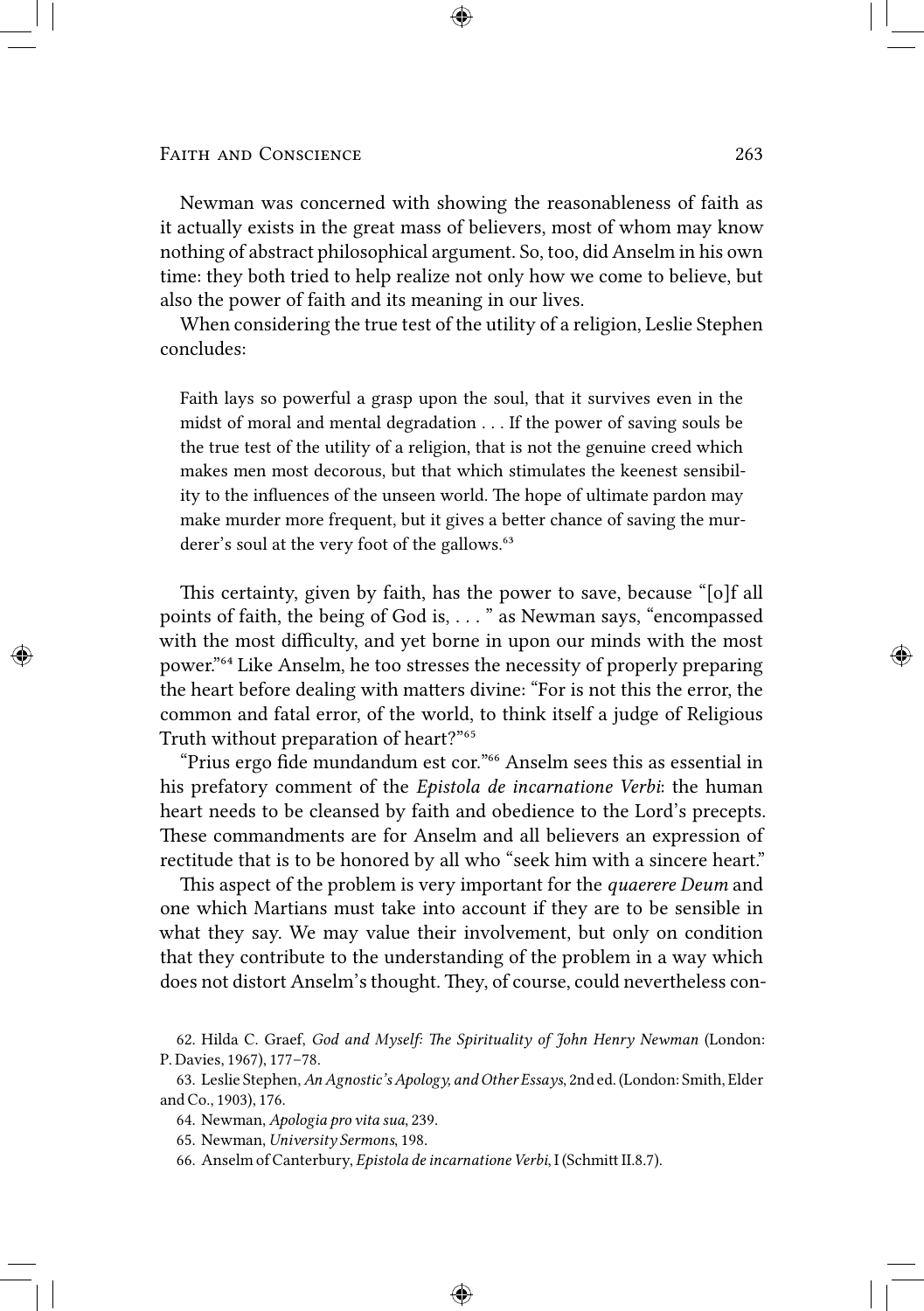Newman was concerned with showing the reasonableness of faith as it actually exists in the great mass of believers, most of whom may know nothing of abstract philosophical argument. So, too, did Anselm in his own time: they both tried to help realize not only how we come to believe, but also the power of faith and its meaning in our lives.

When considering the true test of the utility of a religion, Leslie Stephen concludes:

Faith lays so powerful a grasp upon the soul, that it survives even in the midst of moral and mental degradation . . . If the power of saving souls be the true test of the utility of a religion, that is not the genuine creed which makes men most decorous, but that which stimulates the keenest sensibility to the influences of the unseen world. The hope of ultimate pardon may make murder more frequent, but it gives a better chance of saving the murderer's soul at the very foot of the gallows.<sup>63</sup>

This certainty, given by faith, has the power to save, because "[o]f all points of faith, the being of God is, . . . " as Newman says, "encompassed with the most difficulty, and yet borne in upon our minds with the most power."<sup>64</sup> Like Anselm, he too stresses the necessity of properly preparing the heart before dealing with matters divine: "For is not this the error, the common and fatal error, of the world, to think itself a judge of Religious Truth without preparation of heart?"<sup>65</sup>

"Prius ergo fide mundandum est cor."<sup>66</sup> Anselm sees this as essential in his prefatory comment of the *Epistola de incarnatione Verbi*: the human heart needs to be cleansed by faith and obedience to the Lord's precepts. These commandments are for Anselm and all believers an expression of rectitude that is to be honored by all who "seek him with a sincere heart."

This aspect of the problem is very important for the *quaerere Deum* and one which Martians must take into account if they are to be sensible in what they say. We may value their involvement, but only on condition that they contribute to the understanding of the problem in a way which does not distort Anselm's thought. They, of course, could nevertheless con-

<sup>62.</sup> Hilda C. Graef, *God and Myself: The Spirituality of John Henry Newman* (London: P. Davies, 1967), 177–78.

<sup>63.</sup> Leslie Stephen,*An Agnostic's Apology, and Other Essays*, 2nd ed. (London: Smith, Elder and Co., 1903), 176.

<sup>64.</sup> Newman, *Apologia pro vita sua*, 239.

<sup>65.</sup> Newman, *University Sermons*, 198.

<sup>66.</sup> Anselm of Canterbury, *Epistola de incarnatione Verbi*, I (Schmitt II.8.7).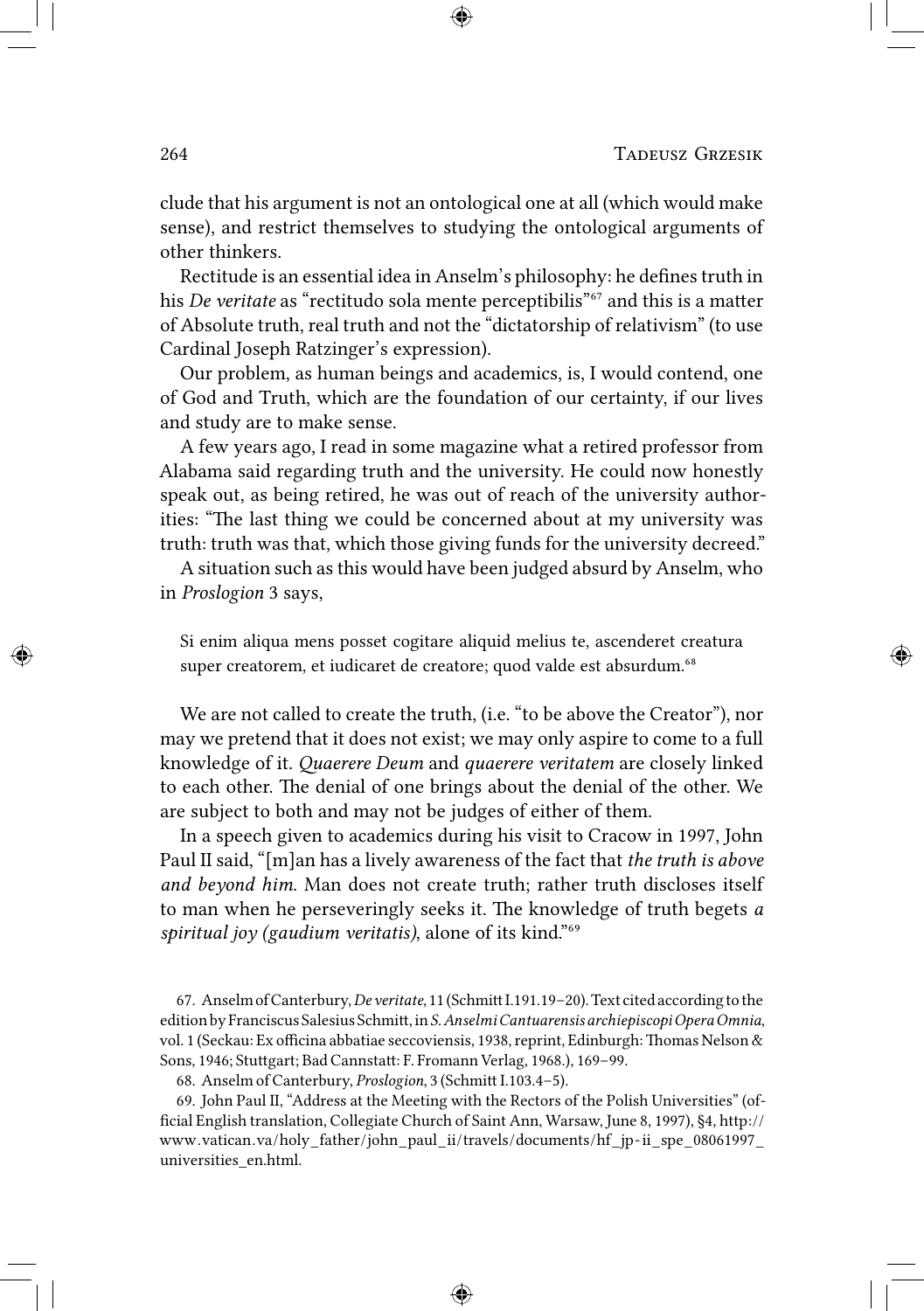clude that his argument is not an ontological one at all (which would make sense), and restrict themselves to studying the ontological arguments of other thinkers.

Rectitude is an essential idea in Anselm's philosophy: he defines truth in his *De veritate* as "rectitudo sola mente perceptibilis"<sup>67</sup> and this is a matter of Absolute truth, real truth and not the "dictatorship of relativism" (to use Cardinal Joseph Ratzinger's expression).

Our problem, as human beings and academics, is, I would contend, one of God and Truth, which are the foundation of our certainty, if our lives and study are to make sense.

A few years ago, I read in some magazine what a retired professor from Alabama said regarding truth and the university. He could now honestly speak out, as being retired, he was out of reach of the university authorities: "The last thing we could be concerned about at my university was truth: truth was that, which those giving funds for the university decreed."

A situation such as this would have been judged absurd by Anselm, who in *Proslogion* 3 says,

Si enim aliqua mens posset cogitare aliquid melius te, ascenderet creatura super creatorem, et iudicaret de creatore; quod valde est absurdum.<sup>68</sup>

We are not called to create the truth, (i.e. "to be above the Creator"), nor may we pretend that it does not exist; we may only aspire to come to a full knowledge of it. *Quaerere Deum* and *quaerere veritatem* are closely linked to each other. The denial of one brings about the denial of the other. We are subject to both and may not be judges of either of them.

In a speech given to academics during his visit to Cracow in 1997, John Paul II said, "[m]an has a lively awareness of the fact that *the truth is above and beyond him*. Man does not create truth; rather truth discloses itself to man when he perseveringly seeks it. The knowledge of truth begets *a* spiritual joy (gaudium veritatis), alone of its kind."<sup>69</sup>

67. Anselm of Canterbury, *De veritate*, 11 (Schmitt I.191.19-20). Text cited according to the edition by Franciscus Salesius Schmitt, in S. Anselmi Cantuarensis archiepiscopi Opera Omnia, vol. 1 (Seckau: Ex officina abbatiae seccoviensis, 1938, reprint, Edinburgh: Thomas Nelson & Sons, 1946; Stuttgart; Bad Cannstatt: F. Fromann Verlag, 1968.), 169-99.

68. Anselm of Canterbury, *Proslogion*, 3 (Schmitt I.103.4-5).

69. John Paul II, "Address at the Meeting with the Rectors of the Polish Universities" (official English translation, Collegiate Church of Saint Ann, Warsaw, June 8, 1997), §4, http:// www.vatican.va/holy\_father/john\_paul\_ii/travels/documents/hf\_jp-ii\_spe\_08061997\_ universities\_en.html.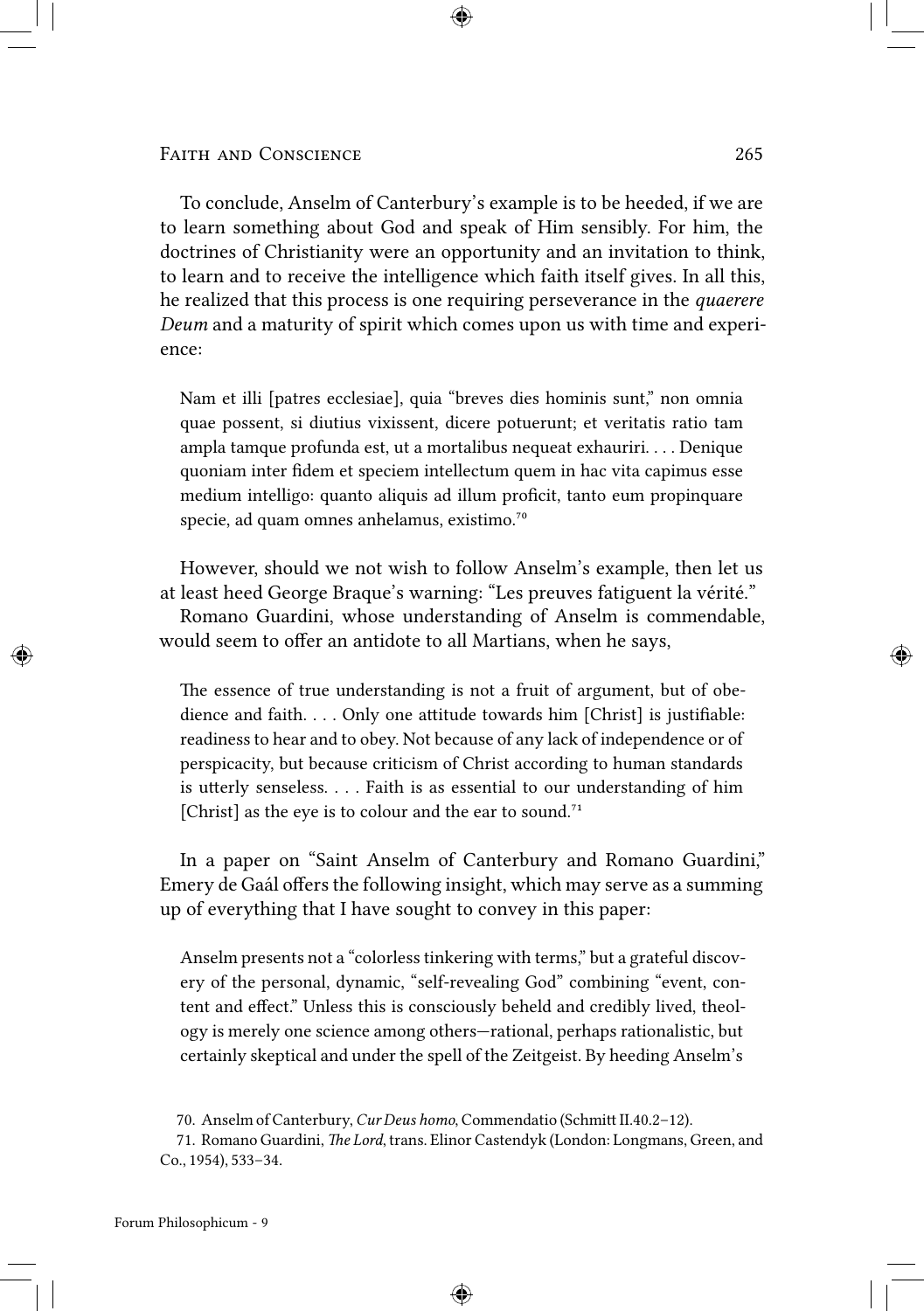To conclude, Anselm of Canterbury's example is to be heeded, if we are to learn something about God and speak of Him sensibly. For him, the doctrines of Christianity were an opportunity and an invitation to think, to learn and to receive the intelligence which faith itself gives. In all this, he realized that this process is one requiring perseverance in the *quaerere Deum* and a maturity of spirit which comes upon us with time and experience:

Nam et illi [patres ecclesiae], quia "breves dies hominis sunt," non omnia quae possent, si diutius vixissent, dicere potuerunt; et veritatis ratio tam ampla tamque profunda est, ut a mortalibus nequeat exhauriri. . . . Denique quoniam inter fidem et speciem intellectum quem in hac vita capimus esse medium intelligo: quanto aliquis ad illum proficit, tanto eum propinquare specie, ad quam omnes anhelamus, existimo.<sup>70</sup>

However, should we not wish to follow Anselm's example, then let us at least heed George Braque's warning: "Les preuves fatiguent la vérité." Romano Guardini, whose understanding of Anselm is commendable, would seem to offer an antidote to all Martians, when he says,

The essence of true understanding is not a fruit of argument, but of obedience and faith.  $\dots$  Only one attitude towards him [Christ] is justifiable: readiness to hear and to obey. Not because of any lack of independence or of perspicacity, but because criticism of Christ according to human standards is utterly senseless. . . . Faith is as essential to our understanding of him [Christ] as the eye is to colour and the ear to sound.<sup>71</sup>

In a paper on "Saint Anselm of Canterbury and Romano Guardini," Emery de Gaál offers the following insight, which may serve as a summing up of everything that I have sought to convey in this paper:

Anselm presents not a "colorless tinkering with terms," but a grateful discovery of the personal, dynamic, "self-revealing God" combining "event, content and effect." Unless this is consciously beheld and credibly lived, theology is merely one science among others—rational, perhaps rationalistic, but certainly skeptical and under the spell of the Zeitgeist. By heeding Anselm's

<sup>70.</sup> Anselm of Canterbury, *Cur Deus homo*, Commendatio (Schmitt II.40.2-12).

<sup>71.</sup> Romano Guardini, *The Lord*, trans. Elinor Castendyk (London: Longmans, Green, and Co., 1954), 533–34.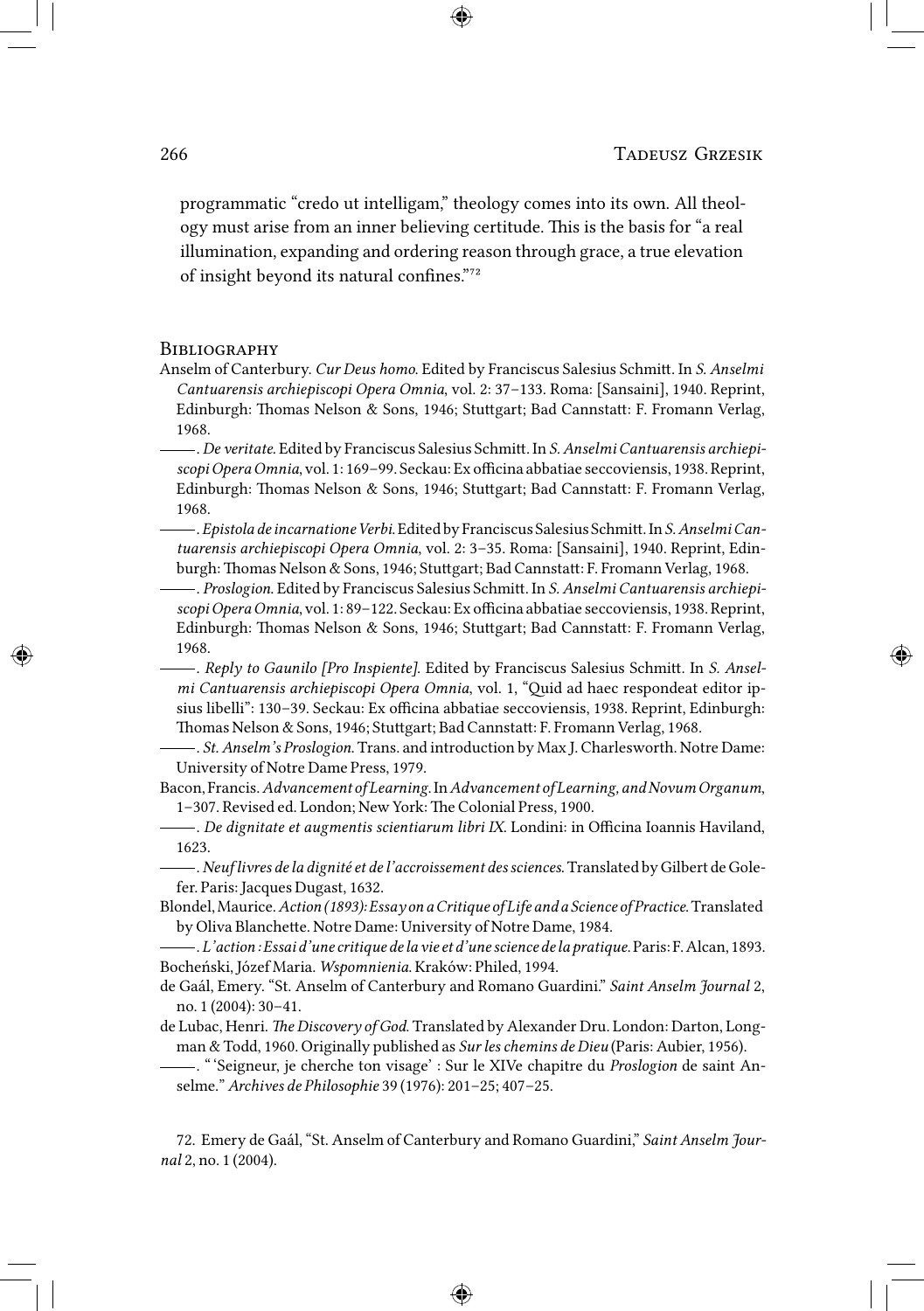programmatic "credo ut intelligam," theology comes into its own. All theology must arise from an inner believing certitude. This is the basis for "a real illumination, expanding and ordering reason through grace, a true elevation of insight beyond its natural confines."<sup>72</sup>

### **BIBLIOGRAPHY**

Anselm of Canterbury. *Cur Deus homo*. Edited by Franciscus Salesius Schmitt. In *S. Anselmi Cantuarensis archiepiscopi Opera Omnia*, vol. 2: 37–133. Roma: [Sansaini], 1940. Reprint, Edinburgh: Thomas Nelson & Sons, 1946; Stuttgart; Bad Cannstatt: F. Fromann Verlag, 1968.

-. De veritate. Edited by Franciscus Salesius Schmitt. In *S. Anselmi Cantuarensis archiepiscopi Opera Omnia*, vol. 1: 169–99. Seckau: Ex officina abbatiae seccoviensis, 1938. Reprint, Edinburgh: Thomas Nelson & Sons, 1946; Stuttgart; Bad Cannstatt: F. Fromann Verlag, 1968.

.*Epistola deincarnatione Verbi*. Edited by Franciscus Salesius Schmi. In*S.Anselmi Cantuarensis archiepiscopi Opera Omnia*, vol. 2: 3–35. Roma: [Sansaini], 1940. Reprint, Edinburgh: Thomas Nelson & Sons, 1946; Stuttgart; Bad Cannstatt: F. Fromann Verlag, 1968.

-------------. *Proslogion*. Edited by Franciscus Salesius Schmitt. In *S. Anselmi Cantuarensis archiepiscopi Opera Omnia*, vol. 1: 89–122. Seckau: Ex officina abbatiae seccoviensis, 1938. Reprint, Edinburgh: Thomas Nelson & Sons, 1946; Stuttgart; Bad Cannstatt: F. Fromann Verlag, 1968.

-. *Reply to Gaunilo [Pro Inspiente]*. Edited by Franciscus Salesius Schmitt. In *S. Anselmi Cantuarensis archiepiscopi Opera Omnia*, vol. 1, "Quid ad haec respondeat editor ipsius libelli": 130–39. Seckau: Ex officina abbatiae seccoviensis, 1938. Reprint, Edinburgh: Thomas Nelson & Sons, 1946; Stuttgart; Bad Cannstatt: F. Fromann Verlag, 1968.

. *St.Anselm's Proslogion*. Trans. and introduction by Max J. Charlesworth. Notre Dame: University of Notre Dame Press, 1979.

Bacon, Francis.*Advancement of Learning*. In*Advancement of Learning, andNovumOrganum*, 1-307. Revised ed. London; New York: The Colonial Press, 1900.

. *De dignitate et augmentis scientiarum libri IX*. Londini: in Officina Ioannis Haviland, 1623.

.*Neuflivres de la dignité et de l'accroissement des sciences*. Translated by Gilbert de Golefer. Paris: Jacques Dugast, 1632.

Blondel,Maurice.*Action (1893): Essay on aCritique of Life and a Science ofPractice*.Translated by Oliva Blanchette. Notre Dame: University of Notre Dame, 1984.

.*L'action: Essai d'une critique dela vie et d'une science dela pratique*.Paris:F.Alcan,1893. Bocheński, Józef Maria. *Wspomnienia*. Kraków: Philed, 1994.

de Gaál, Emery. "St. Anselm of Canterbury and Romano Guardini." *Saint Anselm Journal* 2, no. 1 (2004): 30–41.

de Lubac, Henri. *The Discovery of God*. Translated by Alexander Dru. London: Darton, Longman & Todd, 1960. Originally published as *Sur les chemins de Dieu* (Paris: Aubier, 1956).

. " 'Seigneur, je cherche ton visage' : Sur le XIVe chapitre du *Proslogion* de saint Anselme." *Archives de Philosophie* 39 (1976): 201–25; 407–25.

72. Emery de Gaál, "St. Anselm of Canterbury and Romano Guardini," *Saint Anselm Journal* 2, no. 1 (2004).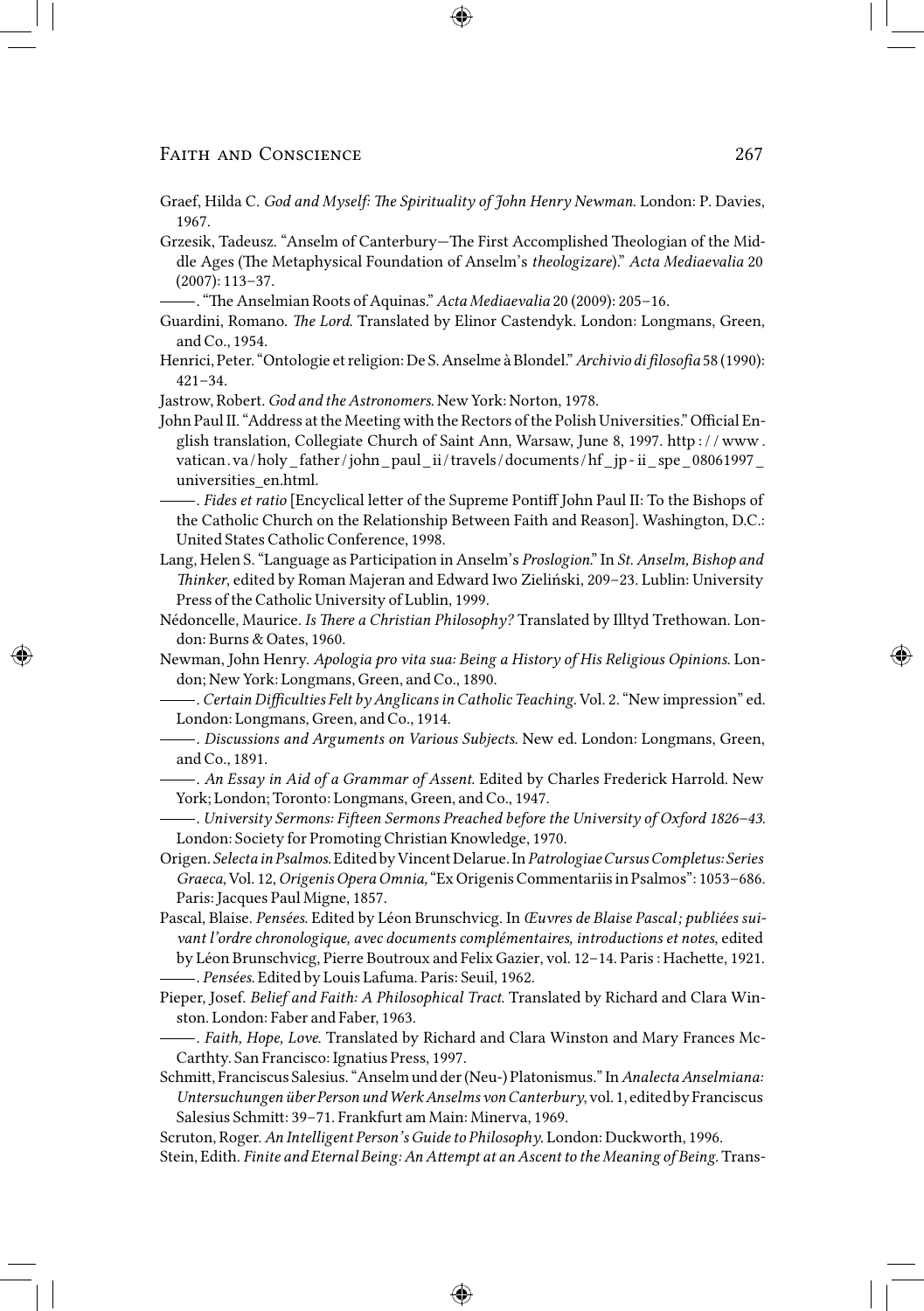- Graef, Hilda C. *God and Myself: The Spirituality of John Henry Newman*. London: P. Davies, 1967.
- Grzesik, Tadeusz. "Anselm of Canterbury—The First Accomplished Theologian of the Middle Ages (The Metaphysical Foundation of Anselm's *theologizare*)." *Acta Mediaevalia* 20 (2007): 113–37.
- -. "The Anselmian Roots of Aquinas." *Acta Mediaevalia* 20 (2009): 205-16.
- Guardini, Romano. *The Lord*. Translated by Elinor Castendyk. London: Longmans, Green, and Co., 1954.
- Henrici, Peter. "Ontologie et religion: De S. Anselme à Blondel."*Archivio di filosofia* 58 (1990): 421–34.
- Jastrow, Robert. *God and the Astronomers*. New York: Norton, 1978.
- John Paul II. "Address at the Meeting with the Rectors of the Polish Universities." Official English translation, Collegiate Church of Saint Ann, Warsaw, June 8, 1997. http : / / www . vatican.va/holy\_father/john\_paul\_ii/travels/documents/hf\_jp- ii\_spe\_08061997\_ universities\_en.html.
	- -. *Fides et ratio* [Encyclical letter of the Supreme Pontiff John Paul II: To the Bishops of the Catholic Church on the Relationship Between Faith and Reason]. Washington, D.C.: United States Catholic Conference, 1998.
- Lang, Helen S. "Language as Participation in Anselm's *Proslogion*." In *St. Anselm, Bishop and inker*, edited by Roman Majeran and Edward Iwo Zieliński, 209–23. Lublin: University Press of the Catholic University of Lublin, 1999.
- Nédoncelle, Maurice. *Is There a Christian Philosophy?* Translated by Illtyd Trethowan. London: Burns & Oates, 1960.
- Newman, John Henry. *Apologia pro vita sua: Being a History of His Religious Opinions*. London; New York: Longmans, Green, and Co., 1890.
	- . *CertainDifficulties Felt by Anglicans in Catholic Teaching*. Vol. 2. "New impression" ed. London: Longmans, Green, and Co., 1914.
- . *Discussions and Arguments on Various Subjects*. New ed. London: Longmans, Green, and Co., 1891.
- . *An Essay in Aid of a Grammar of Assent*. Edited by Charles Frederick Harrold. New York; London; Toronto: Longmans, Green, and Co., 1947.
- . *University Sermons: Fieen Sermons Preached before the University of Oxford 1826–43*. London: Society for Promoting Christian Knowledge, 1970.
- Origen. *Selectain Psalmos*.Edited by Vincent Delarue.In*Patrologiae Cursus Completus: Series Graeca*, Vol. 12,*Origenis Opera Omnia,*"Ex Origenis Commentariis in Psalmos": 1053–686. Paris: Jacques Paul Migne, 1857.
- Pascal, Blaise. *Pensées*. Edited by Léon Brunschvicg. In *Œuvres de Blaise Pascal ; publiées suivant l'ordre chronologique, avec documents complémentaires, introductions et notes*, edited by Léon Brunschvicg, Pierre Boutroux and Felix Gazier, vol. 12-14. Paris : Hachette, 1921. . *Pensées*. Edited by Louis Lafuma. Paris: Seuil, 1962.
- Pieper, Josef. *Belief and Faith: A Philosophical Tract*. Translated by Richard and Clara Winston. London: Faber and Faber, 1963.
- . *Faith, Hope, Love*. Translated by Richard and Clara Winston and Mary Frances Mc-Carthty. San Francisco: Ignatius Press, 1997.
- Schmitt, Franciscus Salesius. "Anselm und der (Neu-) Platonismus." In Analecta Anselmiana: *Untersuchungen über Person undWerkAnselms vonCanterbury*, vol.1, edited by Franciscus Salesius Schmitt: 39-71. Frankfurt am Main: Minerva, 1969.

Scruton, Roger. *An Intelligent Person's Guide to Philosophy*. London: Duckworth, 1996.

Stein, Edith. *Finite and Eternal Being: An Attempt at an Ascent to the Meaning of Being*. Trans-